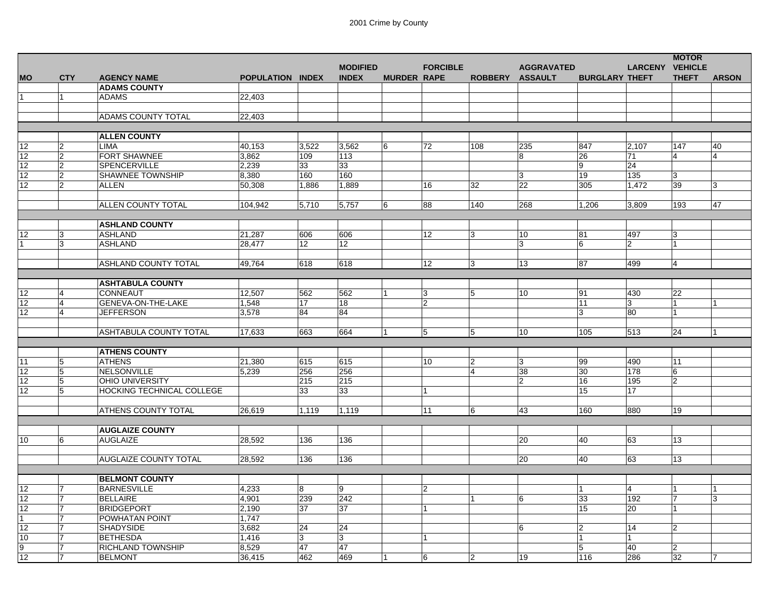|                   |                |                              |                  |                 |                 |                    |                 |                 |                   |                       |                        | <b>MOTOR</b>   |                |
|-------------------|----------------|------------------------------|------------------|-----------------|-----------------|--------------------|-----------------|-----------------|-------------------|-----------------------|------------------------|----------------|----------------|
|                   |                |                              |                  |                 | <b>MODIFIED</b> |                    | <b>FORCIBLE</b> |                 | <b>AGGRAVATED</b> |                       | <b>LARCENY VEHICLE</b> |                |                |
| <b>MO</b>         | <b>CTY</b>     | <b>AGENCY NAME</b>           | POPULATION INDEX |                 | <b>INDEX</b>    | <b>MURDER RAPE</b> |                 | ROBBERY ASSAULT |                   | <b>BURGLARY THEFT</b> |                        | <b>THEFT</b>   | <b>ARSON</b>   |
|                   |                | <b>ADAMS COUNTY</b>          |                  |                 |                 |                    |                 |                 |                   |                       |                        |                |                |
|                   | 1              | <b>ADAMS</b>                 | 22.403           |                 |                 |                    |                 |                 |                   |                       |                        |                |                |
|                   |                |                              |                  |                 |                 |                    |                 |                 |                   |                       |                        |                |                |
|                   |                | ADAMS COUNTY TOTAL           | 22,403           |                 |                 |                    |                 |                 |                   |                       |                        |                |                |
|                   |                |                              |                  |                 |                 |                    |                 |                 |                   |                       |                        |                |                |
|                   |                | <b>ALLEN COUNTY</b>          |                  |                 |                 |                    |                 |                 |                   |                       |                        |                |                |
| 12                | $\overline{2}$ | <b>LIMA</b>                  | 40,153           | 3,522           | 3.562           | 6                  | 72              | 108             | 235               | 847                   | 2,107                  | 147            | 40             |
| 12                | $\overline{2}$ | FORT SHAWNEE                 | 3,862            | 109             | 113             |                    |                 |                 | 8                 | 26                    | 71                     | 4              | 4              |
| 12                | $\overline{2}$ | SPENCERVILLE                 | 2,239            | 33              | 33              |                    |                 |                 |                   | 9                     | 24                     |                |                |
|                   | $\overline{2}$ | <b>SHAWNEE TOWNSHIP</b>      |                  | 160             | 160             |                    |                 |                 | 3                 | 19                    | 135                    | 3              |                |
| $12 \overline{ }$ | $\overline{2}$ |                              | 8,380            |                 |                 |                    |                 |                 |                   |                       |                        |                |                |
| 12                |                | <b>ALLEN</b>                 | 50,308           | 1,886           | 1,889           |                    | 16              | 32              | 22                | 305                   | 1,472                  | 39             | 3              |
|                   |                |                              |                  |                 |                 |                    |                 |                 |                   |                       |                        |                |                |
|                   |                | ALLEN COUNTY TOTAL           | 104,942          | 5,710           | 5,757           | 6                  | 88              | 140             | 268               | 1,206                 | 3,809                  | 193            | 47             |
|                   |                |                              |                  |                 |                 |                    |                 |                 |                   |                       |                        |                |                |
|                   |                | <b>ASHLAND COUNTY</b>        |                  |                 |                 |                    |                 |                 |                   |                       |                        |                |                |
| 12 <sub>2</sub>   | 3              | <b>ASHLAND</b>               | 21,287           | 606             | 606             |                    | 12 <sup>°</sup> | 3               | 10                | 81                    | 497                    | 3              |                |
| 1                 | 3              | <b>ASHLAND</b>               | 28,477           | 12 <sup>°</sup> | 12 <sup>°</sup> |                    |                 |                 | 3                 | 16                    | $\overline{2}$         | 1              |                |
|                   |                |                              |                  |                 |                 |                    |                 |                 |                   |                       |                        |                |                |
|                   |                | ASHLAND COUNTY TOTAL         | 49,764           | 618             | 618             |                    | 12              | 3               | 13                | 87                    | 499                    | $\overline{4}$ |                |
|                   |                |                              |                  |                 |                 |                    |                 |                 |                   |                       |                        |                |                |
|                   |                | <b>ASHTABULA COUNTY</b>      |                  |                 |                 |                    |                 |                 |                   |                       |                        |                |                |
| 12                | $\overline{4}$ | CONNEAUT                     | 12,507           | 562             | 562             |                    | 3               | 5               | 10                | 91                    | 430                    | 22             |                |
| 12                | $\overline{4}$ | GENEVA-ON-THE-LAKE           | 1.548            | 17              | 18              |                    | 2               |                 |                   | 11                    | 3                      | $\mathbf{1}$   |                |
| 12 <sup>°</sup>   | $\overline{4}$ | <b>JEFFERSON</b>             | 3.578            | 84              | 84              |                    |                 |                 |                   | 3                     | 80                     | 1              |                |
|                   |                |                              |                  |                 |                 |                    |                 |                 |                   |                       |                        |                |                |
|                   |                | ASHTABULA COUNTY TOTAL       | 17,633           | 663             | 664             |                    | 5               | 5               | 10                | 105                   | 513                    | 24             |                |
|                   |                |                              |                  |                 |                 |                    |                 |                 |                   |                       |                        |                |                |
|                   |                | <b>ATHENS COUNTY</b>         |                  |                 |                 |                    |                 |                 |                   |                       |                        |                |                |
| 11                | $\overline{5}$ | <b>ATHENS</b>                | 21,380           | 615             | 615             |                    | 10              | $\overline{2}$  | 3                 | 99                    | 490                    | 11             |                |
| 12                | 5              | <b>NELSONVILLE</b>           | 5.239            | 256             | 256             |                    |                 | $\overline{4}$  | 38                | 30                    | 178                    | 6              |                |
| 12                | 5              | <b>OHIO UNIVERSITY</b>       |                  | 215             | 215             |                    |                 |                 | 12                | 16                    | 195                    | $\overline{2}$ |                |
| 12                | 5              | HOCKING TECHNICAL COLLEGE    |                  | 33              | 33              |                    |                 |                 |                   | 15                    | 17                     |                |                |
|                   |                |                              |                  |                 |                 |                    |                 |                 |                   |                       |                        |                |                |
|                   |                | ATHENS COUNTY TOTAL          | 26,619           | 1,119           | 1,119           |                    | 11              | 6               | 43                | 160                   | 880                    | 19             |                |
|                   |                |                              |                  |                 |                 |                    |                 |                 |                   |                       |                        |                |                |
|                   |                | <b>AUGLAIZE COUNTY</b>       |                  |                 |                 |                    |                 |                 |                   |                       |                        |                |                |
| 10                | 6              | <b>AUGLAIZE</b>              | 28,592           | 136             | 136             |                    |                 |                 | 20                | 40                    | 63                     | 13             |                |
|                   |                |                              |                  |                 |                 |                    |                 |                 |                   |                       |                        |                |                |
|                   |                | <b>AUGLAIZE COUNTY TOTAL</b> | 28,592           | 136             | 136             |                    |                 |                 | 20                | 40                    | 63                     | 13             |                |
|                   |                |                              |                  |                 |                 |                    |                 |                 |                   |                       |                        |                |                |
|                   |                | <b>BELMONT COUNTY</b>        |                  |                 |                 |                    |                 |                 |                   |                       |                        |                |                |
| 12                | 7              | <b>BARNESVILLE</b>           | 4,233            | 8               | 9               |                    | $\mathbf{2}$    |                 |                   | $\overline{1}$        | $\overline{4}$         | 1              |                |
| 12                | 7              | <b>BELLAIRE</b>              | 4,901            | 239             | 242             |                    |                 | $\overline{1}$  | 6                 | 33                    | 192                    | 7              | 3              |
| 12                | 7              | <b>BRIDGEPORT</b>            | 2,190            | 37              | 37              |                    |                 |                 |                   | 15                    | 20                     |                |                |
| $\mathbf{1}$      | 7              | POWHATAN POINT               | 1,747            |                 |                 |                    |                 |                 |                   |                       |                        |                |                |
| 12                | 7              | SHADYSIDE                    | 3,682            | 24              | 24              |                    |                 |                 | 6                 | $\overline{2}$        | 14                     | $\overline{2}$ |                |
| 10                | 7              | <b>BETHESDA</b>              | 1,416            | 3               | 3               |                    |                 |                 |                   | $\overline{1}$        |                        |                |                |
| $\overline{9}$    | 7              | <b>RICHLAND TOWNSHIP</b>     | 8,529            | 47              | 47              |                    |                 |                 |                   | 5                     | 40                     | 2              |                |
| 12                | $\overline{7}$ | <b>BELMONT</b>               | 36,415           | 462             | 469             |                    | 6               | $\overline{2}$  | 19                | 116                   | 286                    | 32             | $\overline{7}$ |
|                   |                |                              |                  |                 |                 |                    |                 |                 |                   |                       |                        |                |                |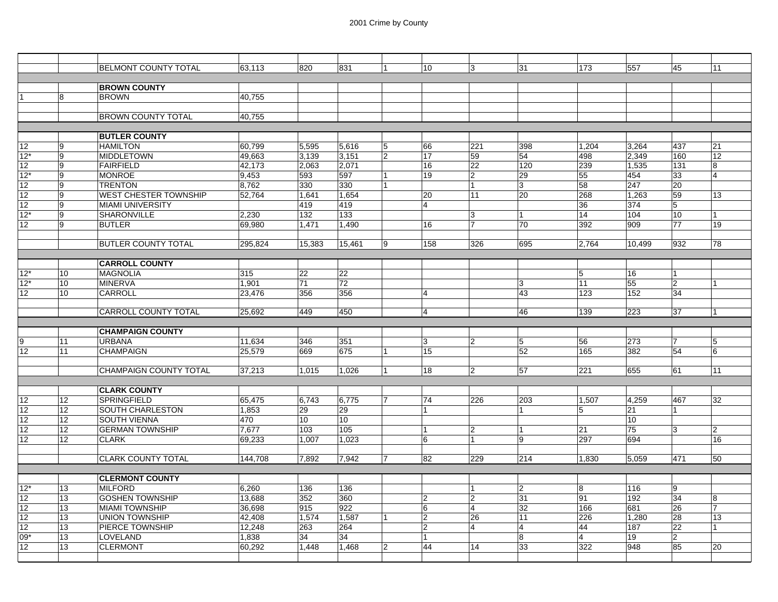|                   |                  | <b>BELMONT COUNTY TOTAL</b>   | 63.113  | 820    | 831             |                | 10               | 3                       | 31             | 173            | 557    | 45             | 11             |
|-------------------|------------------|-------------------------------|---------|--------|-----------------|----------------|------------------|-------------------------|----------------|----------------|--------|----------------|----------------|
|                   |                  |                               |         |        |                 |                |                  |                         |                |                |        |                |                |
|                   |                  | <b>BROWN COUNTY</b>           |         |        |                 |                |                  |                         |                |                |        |                |                |
|                   | 8                | <b>BROWN</b>                  | 40,755  |        |                 |                |                  |                         |                |                |        |                |                |
|                   |                  |                               |         |        |                 |                |                  |                         |                |                |        |                |                |
|                   |                  | <b>BROWN COUNTY TOTAL</b>     | 40.755  |        |                 |                |                  |                         |                |                |        |                |                |
|                   |                  |                               |         |        |                 |                |                  |                         |                |                |        |                |                |
|                   |                  | <b>BUTLER COUNTY</b>          |         |        |                 |                |                  |                         |                |                |        |                |                |
| 12                | 9                | <b>HAMILTON</b>               | 60,799  | 5,595  | 5,616           | 5              | 66               | 221                     | 398            | 1.204          | 3,264  | 437            | 21             |
| $12*$             | 9                | <b>MIDDLETOWN</b>             | 49,663  | 3,139  | 3,151           | $\overline{2}$ | 17               | 59                      | 54             | 498            | 2,349  | 160            | 12             |
| 12                | 9                | <b>FAIRFIELD</b>              | 42,173  | 2,063  | 2,071           |                | 16               | 22                      | 120            | 239            | 1,535  | 131            | 8              |
| $12*$             | 9                | <b>MONROE</b>                 | 9,453   | 593    | 597             |                | 19               | $\overline{\mathbf{c}}$ | 29             | 55             | 454    | 33             | $\overline{4}$ |
| 12                | 9                | <b>TRENTON</b>                | 8,762   | 330    | 330             |                |                  | 1                       | 3              | 58             | 247    | 20             |                |
| 12                | 9                | WEST CHESTER TOWNSHIP         | 52,764  | 1,641  | 1,654           |                | 20               | 11                      | 20             | 268            | 1,263  | 59             | 13             |
| 12                | 9                | <b>MIAMI UNIVERSITY</b>       |         | 419    | 419             |                | 4                |                         |                | 36             | 374    | 5              |                |
| $12*$             | 9                | <b>SHARONVILLE</b>            | 2.230   | 132    | 133             |                |                  | 3                       | 1              | 14             | 104    | 10             | 1              |
| 12                | 9                | <b>BUTLER</b>                 | 69,980  | 1,471  | 1.490           |                | 16               | $\overline{7}$          | 70             | 392            | 909    | 77             | 19             |
|                   |                  |                               |         |        |                 |                |                  |                         |                |                |        |                |                |
|                   |                  | <b>BUTLER COUNTY TOTAL</b>    | 295,824 | 15,383 | 15,461          | 9              | 158              | 326                     | 695            | 2,764          | 10,499 | 932            | 78             |
|                   |                  |                               |         |        |                 |                |                  |                         |                |                |        |                |                |
|                   |                  | <b>CARROLL COUNTY</b>         |         |        |                 |                |                  |                         |                |                |        |                |                |
| $12*$             | 10               | <b>MAGNOLIA</b>               | 315     | 22     | 22              |                |                  |                         |                | 5              | 16     |                |                |
| $12*$             | 10 <sup>10</sup> | <b>MINERVA</b>                | 1,901   | 71     | 72              |                |                  |                         | 3              | 11             | 55     | 2              |                |
| 12                | 10               | CARROLL                       | 23.476  | 356    | 356             |                | 4                |                         | 43             | 123            | 152    | 34             |                |
|                   |                  |                               |         |        |                 |                |                  |                         |                |                |        |                |                |
|                   |                  | <b>CARROLL COUNTY TOTAL</b>   | 25,692  | 449    | 450             |                | 4                |                         | 46             | 139            | 223    | 37             |                |
|                   |                  |                               |         |        |                 |                |                  |                         |                |                |        |                |                |
|                   |                  | <b>CHAMPAIGN COUNTY</b>       |         |        |                 |                |                  |                         |                |                |        |                |                |
| Ι9                | 11               | <b>URBANA</b>                 | 11,634  | 346    | 351             |                | 3                | 2                       | 5              | 56             | 273    | 7              | 5              |
| 12                | 11               | <b>CHAMPAIGN</b>              | 25,579  | 669    | 675             |                | 15               |                         | 52             | 165            | 382    | 54             | 6              |
|                   |                  |                               |         |        |                 |                |                  |                         |                |                |        |                |                |
|                   |                  | <b>CHAMPAIGN COUNTY TOTAL</b> | 37,213  | 1,015  | 1,026           | 1              | 18               | $\overline{2}$          | 57             | 221            | 655    | 61             | 11             |
|                   |                  |                               |         |        |                 |                |                  |                         |                |                |        |                |                |
|                   |                  | <b>CLARK COUNTY</b>           |         |        |                 |                |                  |                         |                |                |        |                |                |
| 12                | 12 <sup>2</sup>  | <b>SPRINGFIELD</b>            | 65.475  | 6.743  | 6.775           |                | 74               | 226                     | 203            | 1.507          | 4,259  | 467            | 32             |
| 12                | 12 <sup>2</sup>  | SOUTH CHARLESTON              | 1,853   | 29     | 29              |                | 1                |                         | 1              | 5              | 21     |                |                |
| 12                | 12               | <b>SOUTH VIENNA</b>           | 470     | 10     | 10 <sup>1</sup> |                |                  |                         |                |                | 10     |                |                |
| 12                | 12               | <b>GERMAN TOWNSHIP</b>        | 7,677   | 103    | 105             |                | 1                | 2                       |                | 21             | 75     | 3              | $\overline{2}$ |
| 12                | 12 <sup>°</sup>  | <b>CLARK</b>                  | 69,233  | 1.007  | 1.023           |                | 6                | 1                       | 9              | 297            | 694    |                | 16             |
|                   |                  |                               |         |        |                 |                |                  |                         |                |                |        |                |                |
|                   |                  | <b>CLARK COUNTY TOTAL</b>     | 144,708 | 7,892  | 7,942           | 17             | 82               | 229                     | 214            | 1,830          | 5,059  | 471            | 50             |
|                   |                  |                               |         |        |                 |                |                  |                         |                |                |        |                |                |
|                   |                  | <b>CLERMONT COUNTY</b>        |         |        |                 |                |                  |                         |                |                |        |                |                |
| $12*$             | 13               | <b>MILFORD</b>                | 6,260   | 136    | 136             |                |                  | 1                       | $\overline{2}$ | 8              | 116    | 9              |                |
| 12                | 13               | <b>GOSHEN TOWNSHIP</b>        | 13,688  | 352    | 360             |                | $\overline{2}$   | $\overline{2}$          | 31             | 91             | 192    | 34             | 8              |
| 12                | 13               | <b>MIAMI TOWNSHIP</b>         | 36,698  | 915    | 922             |                | 6                | $\overline{4}$          | 32             | 166            | 681    | 26             | $\overline{7}$ |
| $12 \overline{ }$ | 13               | <b>UNION TOWNSHIP</b>         | 42,408  | 1,574  | 1,587           |                | $\boldsymbol{2}$ | 26                      | 11             | 226            | 1,280  | 28             | 13             |
| 12                | 13               | PIERCE TOWNSHIP               | 12,248  | 263    | 264             |                | $\overline{2}$   | $\overline{4}$          | 4              | 44             | 187    | 22             | 1              |
| 09*               | 13               | LOVELAND                      | 1,838   | 34     | 34              |                |                  |                         | 8              | $\overline{4}$ | 19     | $\overline{c}$ |                |
| 12 <sup>2</sup>   | 13               | <b>CLERMONT</b>               | 60,292  | 1.448  | 1.468           | 2              | 44               | 14                      | 33             | 322            | 948    | 85             | 20             |
|                   |                  |                               |         |        |                 |                |                  |                         |                |                |        |                |                |
|                   |                  |                               |         |        |                 |                |                  |                         |                |                |        |                |                |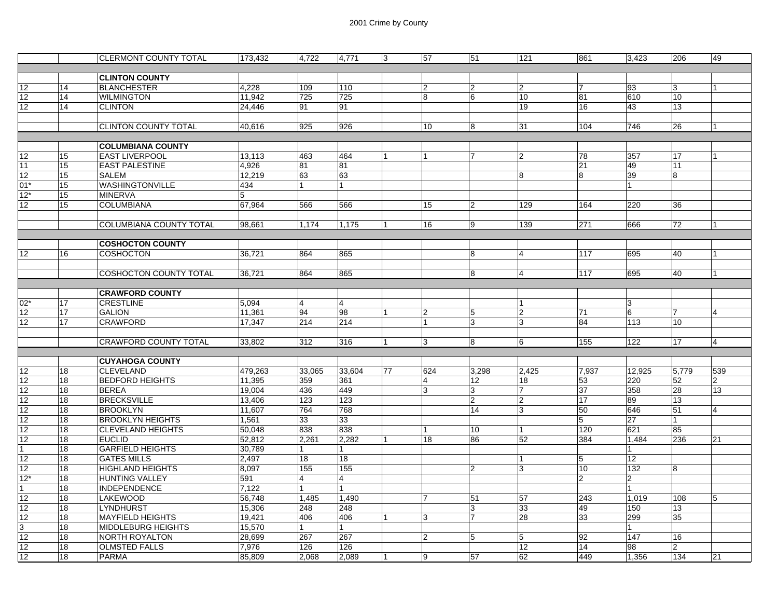|                   |    | <b>CLERMONT COUNTY TOTAL</b>   | 173,432 | 4,722          | 4,771  | 3  | 57             | 51             | 121            | 861            | 3,423           | 206             | 49  |
|-------------------|----|--------------------------------|---------|----------------|--------|----|----------------|----------------|----------------|----------------|-----------------|-----------------|-----|
|                   |    |                                |         |                |        |    |                |                |                |                |                 |                 |     |
|                   |    | <b>CLINTON COUNTY</b>          |         |                |        |    |                |                |                |                |                 |                 |     |
| 12                | 14 | <b>BLANCHESTER</b>             | 4.228   | 109            | 110    |    | $\overline{2}$ | $\overline{2}$ | $ 2\rangle$    |                | 93              | 3               |     |
| 12                | 14 | <b>WILMINGTON</b>              | 11,942  | 725            | 725    |    | 8              | 6              | 10             | 81             | 610             | 10              |     |
| 12                | 14 | <b>CLINTON</b>                 | 24,446  | 91             | 91     |    |                |                | 19             | 16             | 43              | 13              |     |
|                   |    |                                |         |                |        |    |                |                |                |                |                 |                 |     |
|                   |    | <b>CLINTON COUNTY TOTAL</b>    | 40,616  | 925            | 926    |    | 10             | 8              | 31             | 104            | 746             | 26              |     |
|                   |    |                                |         |                |        |    |                |                |                |                |                 |                 |     |
|                   |    | <b>COLUMBIANA COUNTY</b>       |         |                |        |    |                |                |                |                |                 |                 |     |
| 12                | 15 | <b>EAST LIVERPOOL</b>          | 13,113  | 463            | 464    |    |                | 7              | 2              | 78             | 357             | 17              |     |
| 11                | 15 | <b>EAST PALESTINE</b>          | 4.926   | 81             | 81     |    |                |                |                | 21             | 49              | 11              |     |
| 12                | 15 | <b>SALEM</b>                   | 12,219  | 63             | 63     |    |                |                | 8              | 8              | 39              | 8               |     |
| $01*$             | 15 | WASHINGTONVILLE                | 434     | $\overline{1}$ | 1      |    |                |                |                |                |                 |                 |     |
| $12*$             | 15 | <b>MINERVA</b>                 | 5       |                |        |    |                |                |                |                |                 |                 |     |
| 12                | 15 | <b>COLUMBIANA</b>              | 67,964  | 566            | 566    |    | 15             | $\overline{2}$ | 129            | 164            | 220             | 36              |     |
|                   |    |                                |         |                |        |    |                |                |                |                |                 |                 |     |
|                   |    | <b>COLUMBIANA COUNTY TOTAL</b> | 98.661  | 1.174          | 1.175  |    | 16             | 9              | 139            | 271            | 666             | 72              |     |
|                   |    |                                |         |                |        |    |                |                |                |                |                 |                 |     |
|                   |    | <b>COSHOCTON COUNTY</b>        |         |                |        |    |                |                |                |                |                 |                 |     |
| 12                | 16 | <b>COSHOCTON</b>               | 36,721  | 864            | 865    |    |                | 8              | 14             | 117            | 695             | 40              |     |
|                   |    |                                |         |                |        |    |                |                |                |                |                 |                 |     |
|                   |    | <b>COSHOCTON COUNTY TOTAL</b>  | 36,721  | 864            | 865    |    |                | 8              | $\overline{4}$ | 117            | 695             | 40              |     |
|                   |    |                                |         |                |        |    |                |                |                |                |                 |                 |     |
|                   |    | <b>CRAWFORD COUNTY</b>         |         |                |        |    |                |                |                |                |                 |                 |     |
| $02*$             | 17 | <b>CRESTLINE</b>               | 5,094   | $\overline{4}$ | 4      |    |                |                |                |                | 3               |                 |     |
| 12                | 17 | <b>GALION</b>                  | 11,361  | 94             | 98     | 1  | 2              | 5              | $\overline{2}$ | 71             | 6               | $\overline{7}$  | 4   |
| 12                | 17 | <b>CRAWFORD</b>                | 17,347  | 214            | 214    |    |                | 3              | 3              | 84             | 113             | 10 <sup>1</sup> |     |
|                   |    |                                |         |                |        |    |                |                |                |                |                 |                 |     |
|                   |    | <b>CRAWFORD COUNTY TOTAL</b>   | 33.802  | 312            | 316    |    | 3              | 8              | 6              | 155            | 122             | 17              | 4   |
|                   |    |                                |         |                |        |    |                |                |                |                |                 |                 |     |
|                   |    | <b>CUYAHOGA COUNTY</b>         |         |                |        |    |                |                |                |                |                 |                 |     |
| 12                | 18 | <b>CLEVELAND</b>               | 479,263 | 33,065         | 33,604 | 77 | 624            | 3,298          | 2,425          | 7,937          | 12,925          | 5,779           | 539 |
| 12                | 18 | <b>BEDFORD HEIGHTS</b>         | 11,395  | 359            | 361    |    | 4              | 12             | 18             | 53             | 220             | 52              | 2   |
| 12                | 18 | <b>BEREA</b>                   | 19,004  | 436            | 449    |    | 3              | 3              | 17             | 37             | 358             | 28              | 13  |
| 12                | 18 | <b>BRECKSVILLE</b>             | 13,406  | 123            | 123    |    |                | $\overline{2}$ | 2              | 17             | 89              | 13              |     |
| 12                | 18 | <b>BROOKLYN</b>                | 11,607  | 764            | 768    |    |                | 14             | 3              | 50             | 646             | 51              | 4   |
| 12                | 18 | <b>BROOKLYN HEIGHTS</b>        | 1,561   | 33             | 33     |    |                |                |                | 5              | $\overline{27}$ | 1               |     |
| 12                | 18 | <b>CLEVELAND HEIGHTS</b>       | 50,048  | 838            | 838    |    |                | 10             | 11             | 120            | 621             | 85              |     |
| $12 \overline{ }$ | 18 | <b>EUCLID</b>                  | 52,812  | 2,261          | 2,282  |    | 18             | 86             | 52             | 384            | 1,484           | 236             | 21  |
| 1                 | 18 | <b>GARFIELD HEIGHTS</b>        | 30,789  | 1              |        |    |                |                |                |                |                 |                 |     |
| 12                | 18 | <b>GATES MILLS</b>             | 2,497   | 18             | 18     |    |                |                |                | 5              | 12              |                 |     |
| 12                | 18 | <b>HIGHLAND HEIGHTS</b>        | 8,097   | 155            | 155    |    |                | $\overline{2}$ | 3              | 10             | 132             | 8               |     |
| $12*$             | 18 | <b>HUNTING VALLEY</b>          | 591     | $\overline{4}$ | 4      |    |                |                |                | $\overline{2}$ | $\overline{2}$  |                 |     |
| $\mathbf{1}$      | 18 | <b>INDEPENDENCE</b>            | 7,122   | l 1            | 1      |    |                |                |                |                | 1               |                 |     |
| 12                | 18 | <b>LAKEWOOD</b>                | 56,748  | 1,485          | 1,490  |    |                | 51             | 57             | 243            | 1,019           | 108             | 5   |
| 12                | 18 | <b>LYNDHURST</b>               | 15,306  | 248            | 248    |    |                | 3              | 33             | 49             | 150             | 13              |     |
| 12                | 18 | <b>MAYFIELD HEIGHTS</b>        | 19,421  | 406            | 406    | 1  | 3              | 7              | 28             | 33             | 299             | 35              |     |
| 3                 | 18 | <b>MIDDLEBURG HEIGHTS</b>      | 15,570  | 1              |        |    |                |                |                |                |                 |                 |     |
| 12                | 18 | <b>NORTH ROYALTON</b>          | 28,699  | 267            | 267    |    | $\overline{2}$ | $\overline{5}$ | 5              | 92             | 147             | 16              |     |
| 12                | 18 | <b>OLMSTED FALLS</b>           | 7,976   | 126            | 126    |    |                |                | 12             | 14             | 98              | $\overline{2}$  |     |
|                   | 18 | <b>PARMA</b>                   |         | 2,068          | 2,089  |    | 9              | 57             | 62             | 449            | 1,356           | 134             | 21  |
| 12                |    |                                | 85,809  |                |        |    |                |                |                |                |                 |                 |     |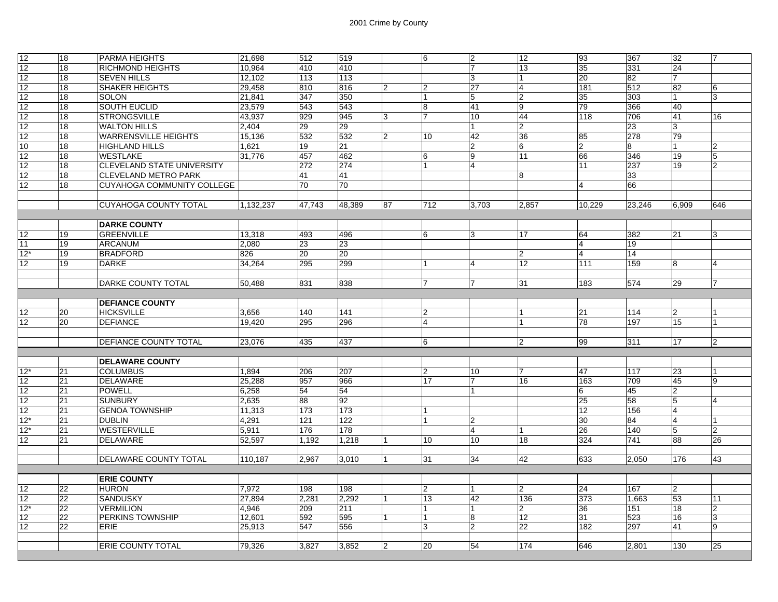| 12              | 18 | <b>PARMA HEIGHTS</b>              | 21,698    | 512             | 519    |                | 6              | $\overline{2}$ | 12             | 93             | 367    | 32             | 7              |
|-----------------|----|-----------------------------------|-----------|-----------------|--------|----------------|----------------|----------------|----------------|----------------|--------|----------------|----------------|
| 12              | 18 | RICHMOND HEIGHTS                  | 10,964    | 410             | 410    |                |                | 17             | 13             | 35             | 331    | 24             |                |
| 12              | 18 | <b>SEVEN HILLS</b>                | 12,102    | 113             | 113    |                |                | 3              |                | 20             | 82     | 7              |                |
| 12              | 18 | <b>SHAKER HEIGHTS</b>             | 29,458    | 810             | 816    | 2              | $\overline{2}$ | 27             | 4              | 181            | 512    | 82             | 6              |
| 12              | 18 | <b>SOLON</b>                      | 21,841    | 347             | 350    |                | $\overline{1}$ | 5              | $\overline{2}$ | 35             | 303    | $\mathbf{1}$   | 3              |
| 12              | 18 | SOUTH EUCLID                      | 23,579    | 543             | 543    |                | $\overline{8}$ | 41             | 9              | 79             | 366    | 40             |                |
| 12              | 18 | <b>STRONGSVILLE</b>               | 43.937    | 929             | 945    | 3              | $\overline{7}$ | 10             | 44             | 118            | 706    | 41             | 16             |
| 12              | 18 | <b>WALTON HILLS</b>               | 2,404     | 29              | 29     |                |                | $\mathbf{1}$   | $\overline{2}$ |                | 23     | 3              |                |
| 12              | 18 | <b>WARRENSVILLE HEIGHTS</b>       | 15,136    | 532             | 532    | $\overline{2}$ | 10             | 42             | 36             | 85             | 278    | 79             |                |
| 10              | 18 | HIGHLAND HILLS                    | 1,621     | 19              | 21     |                |                | $\overline{2}$ | 6              | $\overline{2}$ | 8      |                | 2              |
| 12              | 18 | WESTLAKE                          | 31,776    | 457             | 462    |                | $\,6$          | 9              | 11             | 66             | 346    | 19             | 5              |
| 12              | 18 | <b>CLEVELAND STATE UNIVERSITY</b> |           | 272             | 274    |                | 1              | $\overline{4}$ |                | 11             | 237    | 19             | $\overline{2}$ |
| 12              | 18 | <b>CLEVELAND METRO PARK</b>       |           | 41              | 41     |                |                |                | 8              |                | 33     |                |                |
| 12              | 18 | CUYAHOGA COMMUNITY COLLEGE        |           | 70              | 70     |                |                |                |                | $\overline{4}$ | 66     |                |                |
|                 |    |                                   |           |                 |        |                |                |                |                |                |        |                |                |
|                 |    | <b>CUYAHOGA COUNTY TOTAL</b>      | 1,132,237 | 47,743          | 48,389 | 87             | 712            | 3,703          | 2,857          | 10,229         | 23,246 | 6,909          | 646            |
|                 |    |                                   |           |                 |        |                |                |                |                |                |        |                |                |
|                 |    | <b>DARKE COUNTY</b>               |           |                 |        |                |                |                |                |                |        |                |                |
| 12              | 19 | <b>GREENVILLE</b>                 | 13,318    | 493             | 496    |                | 6              | 3              | 17             | 64             | 382    | 21             | 3              |
| 11              | 19 | <b>ARCANUM</b>                    | 2,080     | 23              | 23     |                |                |                |                | $\overline{4}$ | 19     |                |                |
| $12*$           | 19 | <b>BRADFORD</b>                   | 826       | 20              | 20     |                |                |                | $\overline{2}$ | $\overline{4}$ | 14     |                |                |
| 12              | 19 | <b>DARKE</b>                      | 34,264    | 295             | 299    |                |                | $\overline{4}$ | 12             | 111            | 159    | 8              |                |
|                 |    |                                   |           |                 |        |                |                |                |                |                |        |                |                |
|                 |    | DARKE COUNTY TOTAL                | 50,488    | 831             | 838    |                | 17             | 17             | 31             | 183            | 574    | 29             | $\overline{7}$ |
|                 |    |                                   |           |                 |        |                |                |                |                |                |        |                |                |
|                 |    | <b>DEFIANCE COUNTY</b>            |           |                 |        |                |                |                |                |                |        |                |                |
| 12              | 20 | <b>HICKSVILLE</b>                 | 3,656     | 140             | 141    |                | $\overline{2}$ |                |                | 21             | 114    | 2              |                |
| 12 <sup>2</sup> | 20 | <b>DEFIANCE</b>                   | 19.420    | 295             | 296    |                | $\overline{4}$ |                |                | 78             | 197    | 15             |                |
|                 |    |                                   |           |                 |        |                |                |                |                |                |        |                |                |
|                 |    | DEFIANCE COUNTY TOTAL             | 23,076    | 435             | 437    |                | 6              |                | $\overline{2}$ | 99             | 311    | 17             | $\overline{2}$ |
|                 |    |                                   |           |                 |        |                |                |                |                |                |        |                |                |
|                 |    | <b>DELAWARE COUNTY</b>            |           |                 |        |                |                |                |                |                |        |                |                |
| $12*$           | 21 | <b>COLUMBUS</b>                   | 1,894     | 206             | 207    |                | 2              | 10             |                | 47             | 117    | 23             |                |
| 12              | 21 | DELAWARE                          | 25,288    | 957             | 966    |                | 17             | $\overline{7}$ | 16             | 163            | 709    | 45             | 9              |
| 12              | 21 | <b>POWELL</b>                     | 6,258     | $\overline{54}$ | 54     |                |                | 1              |                | 6              | 45     | $\overline{2}$ |                |
| 12              | 21 | <b>SUNBURY</b>                    | 2.635     | 88              | 92     |                |                |                |                | 25             | 58     | 5              | 4              |
| 12              | 21 | <b>GENOA TOWNSHIP</b>             | 11,313    | 173             | 173    |                | 1              |                |                | 12             | 156    | $\overline{4}$ |                |
| $12*$           | 21 | <b>DUBLIN</b>                     | 4,291     | 121             | 122    |                | $\mathbf{1}$   | $\overline{2}$ |                | 30             | 84     | 14             |                |
| 12*             | 21 | <b>WESTERVILLE</b>                | 5,911     | 176             | 178    |                |                | $\overline{4}$ |                | 26             | 140    | 5              | 2              |
| 12              | 21 | DELAWARE                          | 52,597    | 1,192           | 1,218  |                | 10             | 10             | 18             | 324            | 741    | 88             | 26             |
|                 |    |                                   |           |                 |        |                |                |                |                |                |        |                |                |
|                 |    | DELAWARE COUNTY TOTAL             | 110,187   | 2,967           | 3,010  | $\overline{1}$ | 31             | 34             | 42             | 633            | 2,050  | 176            | 43             |
|                 |    |                                   |           |                 |        |                |                |                |                |                |        |                |                |
|                 |    | <b>ERIE COUNTY</b>                |           |                 |        |                |                |                |                |                |        |                |                |
| 12              | 22 | <b>HURON</b>                      | 7,972     | 198             | 198    |                | $\overline{2}$ | 1              | $\overline{2}$ | 24             | 167    | $ 2\rangle$    |                |
| 12              | 22 | <b>SANDUSKY</b>                   | 27,894    | 2.281           | 2.292  |                | 13             | 42             | 136            | 373            | 1.663  | 53             | 11             |
| $12*$           | 22 | <b>VERMILION</b>                  | 4.946     | 209             | 211    |                | 1              | 1              | 2              | 36             | 151    | 18             | 2              |
| 12              |    | <b>PERKINS TOWNSHIP</b>           | 12,601    | 592             | 595    | 1              | $\mathbf{1}$   | $\overline{8}$ | 12             | 31             | 523    | 16             | $\overline{3}$ |
| 12              | 22 |                                   |           |                 |        |                |                |                |                |                |        |                |                |
|                 | 22 | ERIE                              | 25,913    | 547             | 556    |                | 3              | $\overline{2}$ | 22             | 182            | 297    | 41             | 9              |
|                 |    | <b>ERIE COUNTY TOTAL</b>          | 79.326    | 3.827           | 3.852  | $\overline{2}$ | 20             | 54             | 174            | 646            | 2.801  | 130            | 25             |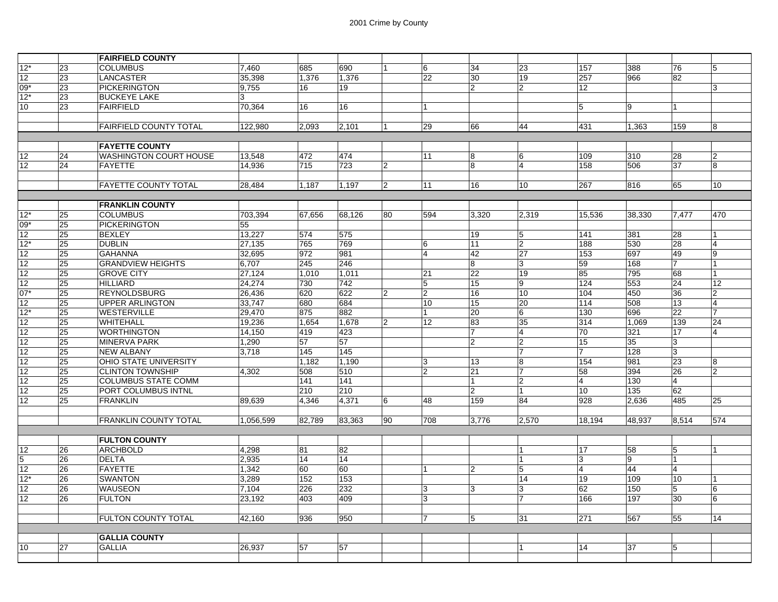|                 |          | <b>FAIRFIELD COUNTY</b>              |                  |              |                           |                |                   |                      |                |                 |                  |                       |                |
|-----------------|----------|--------------------------------------|------------------|--------------|---------------------------|----------------|-------------------|----------------------|----------------|-----------------|------------------|-----------------------|----------------|
| $12*$           | 23       | <b>COLUMBUS</b>                      | 7,460            | 685          | 690                       |                | 6                 | 34                   | 23             | 157             | 388              | 76                    | 5              |
| 12              | 23       | <b>LANCASTER</b>                     | 35.398           | 1.376        | 1.376                     |                | 22                | 30                   | 19             | 257             | 966              | 82                    |                |
| 09*             | 23       | <b>PICKERINGTON</b>                  | 9,755            | 16           | 19                        |                |                   | $\overline{2}$       | $\overline{2}$ | 12 <sup>2</sup> |                  |                       | 3              |
| $12*$           | 23       | <b>BUCKEYE LAKE</b>                  | 3                |              |                           |                |                   |                      |                |                 |                  |                       |                |
| 10              | 23       | <b>FAIRFIELD</b>                     | 70,364           | 16           | 16                        |                |                   |                      |                | 5               | 9                |                       |                |
|                 |          |                                      |                  |              |                           |                |                   |                      |                |                 |                  |                       |                |
|                 |          | <b>FAIRFIELD COUNTY TOTAL</b>        | 122,980          | 2.093        | 2,101                     |                | 29                | 66                   | 44             | 431             | 1,363            | 159                   | 8              |
|                 |          |                                      |                  |              |                           |                |                   |                      |                |                 |                  |                       |                |
|                 |          | <b>FAYETTE COUNTY</b>                |                  |              |                           |                |                   |                      |                |                 |                  |                       |                |
| 12              | 24       | <b>WASHINGTON COURT HOUSE</b>        | 13,548           | 472          | 474                       |                | 11                | 8                    | 16             | 109             | 310              | 28                    | $\overline{2}$ |
| 12              | 24       | <b>FAYETTE</b>                       | 14,936           | 715          | 723                       | $\mathfrak{p}$ |                   | 8                    | 14             | 158             | 506              | 37                    | 8              |
|                 |          |                                      |                  |              |                           |                |                   |                      |                |                 |                  |                       |                |
|                 |          | <b>FAYETTE COUNTY TOTAL</b>          | 28,484           | 1,187        | 1,197                     | $\mathbf{2}$   | 11                | 16                   | 10             | 267             | 816              | 65                    | 10             |
|                 |          |                                      |                  |              |                           |                |                   |                      |                |                 |                  |                       |                |
|                 |          | <b>FRANKLIN COUNTY</b>               |                  |              |                           |                |                   |                      |                |                 |                  |                       |                |
| $12*$           | 25       | <b>COLUMBUS</b>                      | 703,394          | 67.656       | 68,126                    | 80             | 594               | 3,320                | 2,319          | 15,536          | 38.330           | 7.477                 | 470            |
| $09*$           | 25       | <b>PICKERINGTON</b>                  | 55               |              |                           |                |                   |                      |                |                 |                  |                       |                |
| 12              | 25       | <b>BEXLEY</b>                        | 13.227           | 574          | 575                       |                |                   | 19                   | 15             | 141             | 381              | 28                    |                |
| $12*$           | 25       | <b>DUBLIN</b>                        | 27,135           | 765          | 769                       |                | 6                 | 11                   | $\overline{2}$ | 188             | 530              | 28                    | $\overline{4}$ |
| 12              | 25       | <b>GAHANNA</b>                       | 32,695           | 972          | 981                       |                | $\overline{A}$    | 42                   | 27             | 153             | 697              | 49<br>7               | 9              |
| 12              | 25       | <b>GRANDVIEW HEIGHTS</b>             | 6,707            | 245          | 246                       |                |                   | 8<br>$\overline{22}$ | 3              | 59              | 168              |                       |                |
| 12<br>12        | 25<br>25 | <b>GROVE CITY</b><br><b>HILLIARD</b> | 27,124           | 1,010<br>730 | 1,011<br>$\overline{742}$ |                | 21                | 15                   | 19<br>ļ9       | 85<br>124       | 795<br>553       | 68<br>$\overline{24}$ | 12             |
| $07*$           | 25       | <b>REYNOLDSBURG</b>                  | 24,274<br>26,436 | 620          | 622                       | $\overline{2}$ | 5<br>$\mathbf{2}$ | 16                   | 10             | 104             | 450              | 36                    | $\overline{2}$ |
| 12              | 25       | <b>UPPER ARLINGTON</b>               | 33,747           | 680          | 684                       |                | 10                | 15                   | 20             | 114             | 508              | 13                    | $\overline{4}$ |
| $12*$           | 25       | <b>WESTERVILLE</b>                   | 29,470           | 875          | 882                       |                | 1                 | 20                   | 16             | 130             | 696              | 22                    | $\overline{7}$ |
| 12              | 25       | <b>WHITEHALL</b>                     | 19,236           | 1.654        | 1.678                     | $\mathfrak{p}$ | 12                | 83                   | 35             | 314             | 1,069            | 139                   | 24             |
| 12              | 25       | <b>WORTHINGTON</b>                   | 14,150           | 419          | 423                       |                |                   | $\overline{7}$       | $\overline{4}$ | 70              | 321              | 17                    | $\overline{4}$ |
| 12              | 25       | <b>MINERVA PARK</b>                  | 1,290            | 57           | 57                        |                |                   | $\overline{2}$       | 2              | 15              | 35               | 3                     |                |
| 12              | 25       | <b>NEW ALBANY</b>                    | 3.718            | 145          | 145                       |                |                   |                      | 7              | 7               | 128              | 3                     |                |
| 12              | 25       | OHIO STATE UNIVERSITY                |                  | 1.182        | 1.190                     |                | $\overline{3}$    | 13                   | 8              | 154             | 981              | 23                    | 8              |
| 12              | 25       | <b>CLINTON TOWNSHIP</b>              | 4,302            | 508          | 510                       |                | $\overline{2}$    | 21                   | 7              | 58              | 394              | 26                    | $\overline{2}$ |
| 12              | 25       | <b>COLUMBUS STATE COMM</b>           |                  | 141          | 141                       |                |                   | l 1                  | 12             | $\overline{4}$  | 130              | 4                     |                |
| $\overline{12}$ | 25       | <b>PORT COLUMBUS INTNL</b>           |                  | 210          | 210                       |                |                   | $\overline{2}$       | $\overline{1}$ | 10              | $\overline{135}$ | 62                    |                |
| 12              | 25       | <b>FRANKLIN</b>                      | 89,639           | 4,346        | 4,371                     | 6              | 48                | 159                  | 84             | 928             | 2,636            | 485                   | 25             |
|                 |          |                                      |                  |              |                           |                |                   |                      |                |                 |                  |                       |                |
|                 |          | <b>FRANKLIN COUNTY TOTAL</b>         | 1,056,599        | 82,789       | 83,363                    | 90             | 708               | 3,776                | 2,570          | 18,194          | 48,937           | 8,514                 | 574            |
|                 |          |                                      |                  |              |                           |                |                   |                      |                |                 |                  |                       |                |
|                 |          | <b>FULTON COUNTY</b>                 |                  |              |                           |                |                   |                      |                |                 |                  |                       |                |
| 12              | 26       | <b>ARCHBOLD</b>                      | 4,298            | 81           | 82                        |                |                   |                      | $\overline{1}$ | 17              | 58               | 5                     | $\overline{1}$ |
| 5               | 26       | <b>DELTA</b>                         | 2,935            | 14           | $\overline{14}$           |                |                   |                      | $\overline{1}$ | 3               | 9                |                       |                |
| 12              | 26       | <b>FAYETTE</b>                       | 1,342            | 60           | 60                        |                | 1                 | $\overline{2}$       | 5              | 4               | 44               | 4                     |                |
| $12*$           | 26       | <b>SWANTON</b>                       | 3,289            | 152          | 153                       |                |                   |                      | 14             | 19              | 109              | 10 <sup>10</sup>      |                |
| 12              | 26       | <b>WAUSEON</b>                       | 7,104            | 226          | 232                       |                | 3                 | 3                    | 3              | 62              | 150              | 5                     | 6              |
| 12              | 26       | <b>FULTON</b>                        | 23,192           | 403          | 409                       |                | 3                 |                      | 7              | 166             | 197              | 30                    | 6              |
|                 |          |                                      |                  |              |                           |                |                   |                      |                |                 |                  |                       |                |
|                 |          | <b>FULTON COUNTY TOTAL</b>           | 42,160           | 936          | 950                       |                | 17                | $\overline{5}$       | 31             | 271             | 567              | 55                    | 14             |
|                 |          |                                      |                  |              |                           |                |                   |                      |                |                 |                  |                       |                |
|                 |          | <b>GALLIA COUNTY</b>                 |                  |              |                           |                |                   |                      |                |                 |                  |                       |                |
| 10              | 27       | <b>GALLIA</b>                        | 26,937           | 57           | 57                        |                |                   |                      | $\overline{1}$ | 14              | 37               | 5                     |                |
|                 |          |                                      |                  |              |                           |                |                   |                      |                |                 |                  |                       |                |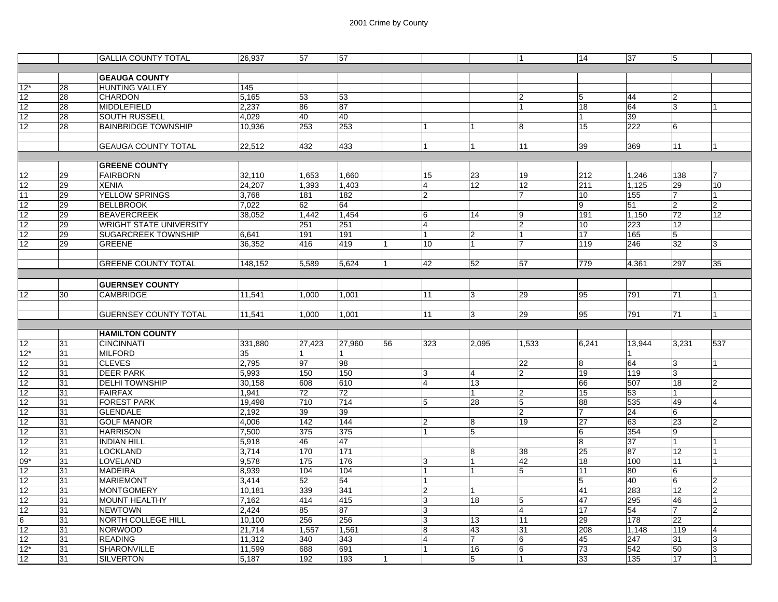|                 |          | <b>GALLIA COUNTY TOTAL</b>      | 26,937          | 57               | 57              |                |                         |                 |                | 14             | 37         | $5\,$           |                 |
|-----------------|----------|---------------------------------|-----------------|------------------|-----------------|----------------|-------------------------|-----------------|----------------|----------------|------------|-----------------|-----------------|
|                 |          |                                 |                 |                  |                 |                |                         |                 |                |                |            |                 |                 |
|                 |          | <b>GEAUGA COUNTY</b>            |                 |                  |                 |                |                         |                 |                |                |            |                 |                 |
| $12*$           | 28       | <b>HUNTING VALLEY</b>           | 145             |                  |                 |                |                         |                 |                |                |            |                 |                 |
| 12              | 28       | <b>CHARDON</b>                  | 5,165           | 53               | 53              |                |                         |                 | $\overline{2}$ | 5              | 44         | $\overline{2}$  |                 |
| 12              | 28       | <b>MIDDLEFIELD</b>              | 2,237           | 86               | 87              |                |                         |                 |                | 18             | 64         | 3               |                 |
| 12              | 28       | <b>SOUTH RUSSELL</b>            | 4,029           | 40               | 40              |                |                         |                 |                |                | 39         |                 |                 |
| 12              | 28       | <b>BAINBRIDGE TOWNSHIP</b>      | 10,936          | 253              | 253             |                |                         |                 | 8              | 15             | 222        | 6               |                 |
|                 |          |                                 |                 |                  |                 |                |                         |                 |                |                |            |                 |                 |
|                 |          | <b>GEAUGA COUNTY TOTAL</b>      | 22,512          | 432              | 433             |                | 1                       |                 | 11             | 39             | 369        | 11              |                 |
|                 |          |                                 |                 |                  |                 |                |                         |                 |                |                |            |                 |                 |
|                 |          | <b>GREENE COUNTY</b>            |                 |                  |                 |                |                         |                 |                |                |            |                 |                 |
| 12              | 29       | <b>FAIRBORN</b>                 | 32,110          | 1,653            | 1,660           |                | 15                      | 23              | 19             | 212            | 1,246      | 138             | 7               |
| 12              | 29       | <b>XENIA</b>                    | 24,207          | 1,393            | 1,403           |                | $\overline{\mathbf{4}}$ | 12              | 12             | 211            | 1,125      | 29              | 10              |
| 11              | 29       | <b>YELLOW SPRINGS</b>           | 3,768           | 181              | 182             |                | $\overline{2}$          |                 | $\overline{7}$ | 10             | 155        | 7               | 1               |
| 12              | 29       | <b>BELLBROOK</b>                | 7,022           | 62               | 64              |                |                         |                 |                | g              | 51         | $\overline{2}$  | $\overline{2}$  |
| 12              | 29       | <b>BEAVERCREEK</b>              | 38,052          | 1,442            | 1,454           |                | 6                       | 14              | 9              | 191            | 1,150      | 72              | $\overline{12}$ |
| 12              | 29       | <b>WRIGHT STATE UNIVERSITY</b>  |                 | 251              | 251             |                | $\overline{4}$          |                 | $\overline{2}$ | 10             | 223        | 12              |                 |
| 12              | 29       | <b>SUGARCREEK TOWNSHIP</b>      | 6,641           | 191              | 191             |                |                         | $\overline{2}$  |                | 17             | 165        | 5               |                 |
| 12              | 29       | <b>GREENE</b>                   | 36,352          | 416              | 419             |                | 10                      |                 | 7              | 119            | 246        | 32              | 3               |
|                 |          |                                 |                 |                  |                 |                |                         |                 |                |                |            |                 |                 |
|                 |          | <b>GREENE COUNTY TOTAL</b>      | 148.152         | 5.589            | 5.624           | $\overline{1}$ | 42                      | 52              | 57             | 779            | 4.361      | 297             | 35              |
|                 |          |                                 |                 |                  |                 |                |                         |                 |                |                |            |                 |                 |
|                 |          | <b>GUERNSEY COUNTY</b>          |                 |                  |                 |                |                         |                 |                |                |            |                 |                 |
| 12 <sup>2</sup> | 30       | <b>CAMBRIDGE</b>                | 11,541          | 1,000            | 1.001           |                | 11                      | 3               | 29             | 95             | 791        | 71              |                 |
|                 |          |                                 |                 |                  |                 |                |                         |                 |                |                |            |                 |                 |
|                 |          | <b>GUERNSEY COUNTY TOTAL</b>    | 11,541          | 1,000            | 1,001           |                |                         |                 | 29             | 95             |            | 71              | $\overline{1}$  |
|                 |          |                                 |                 |                  |                 |                | 11                      | 3               |                |                | 791        |                 |                 |
|                 |          |                                 |                 |                  |                 |                |                         |                 |                |                |            |                 |                 |
| 12              |          |                                 |                 |                  |                 |                |                         |                 |                |                |            |                 |                 |
| $12*$           |          | <b>HAMILTON COUNTY</b>          |                 |                  |                 |                |                         |                 |                |                |            |                 |                 |
|                 | 31       | <b>CINCINNATI</b>               | 331,880         | 27,423           | 27,960          | 56             | 323                     | 2,095           | 1,533          | 6,241          | 13,944     | 3,231           | 537             |
|                 | 31       | <b>MILFORD</b>                  | 35              |                  |                 |                |                         |                 |                |                | 1          |                 |                 |
| 12              | 31       | <b>CLEVES</b>                   | 2,795           | 97               | 98              |                |                         |                 | 22             | 8              | 64         | 3               |                 |
| 12              | 31       | <b>DEER PARK</b>                | 5,993           | 150              | 150             |                | 13                      | $\overline{4}$  | $\overline{2}$ | 19             | 119        | 3               |                 |
| 12              | 31       | <b>DELHI TOWNSHIP</b>           | 30,158          | 608              | 610             |                | $\overline{4}$          | $\overline{13}$ |                | 66             | 507        | 18              | $\overline{2}$  |
| 12              | 31       | <b>FAIRFAX</b>                  | 1,941           | 72               | 72              |                |                         |                 | $\overline{2}$ | 15             | 53         | 1               |                 |
| 12              | 31       | <b>FOREST PARK</b>              | 19,498          | 710              | 714             |                | 5                       | 28              | 5              | 88             | 535        | 49              | $\overline{4}$  |
| 12              | 31       | <b>GLENDALE</b>                 | 2,192           | 39               | 39              |                |                         |                 | $\overline{2}$ | $\overline{7}$ | 24         | 6               |                 |
| 12              | 31       | <b>GOLF MANOR</b>               | 4,006           | 142              | 144             |                | $\overline{c}$          | 8               | 19             | 27             | 63         | $\overline{23}$ | $\overline{2}$  |
| 12              | 31       | <b>HARRISON</b>                 | 7,500           | 375              | 375             |                |                         | 5               |                | 6              | 354        | 9               |                 |
| 12              | 31       | <b>INDIAN HILL</b>              | 5,918           | 46               | 47              |                |                         |                 |                | 8              | 37         | 1               |                 |
| 12              | 31       | <b>LOCKLAND</b>                 | 3,714           | $\overline{170}$ | 171             |                |                         | 8               | 38             | 25             | 87         | 12              |                 |
| $09*$           | 31       | LOVELAND                        | 9,578           | 175              | 176             |                | 3                       |                 | 42             | 18             | 100        | 11              |                 |
| 12              | 31       | <b>MADEIRA</b>                  | 8,939           | 104              | 104             |                | 1                       |                 | 5              | 11             | 80         | 6               |                 |
| 12              | 31       | <b>MARIEMONT</b>                | 3,414           | 52               | $\overline{54}$ |                |                         |                 |                | $\overline{5}$ | 40         | 6               | 2               |
| $\overline{12}$ | 31       | <b>MONTGOMERY</b>               | 10,181          | 339              | 341             |                | $\overline{2}$          |                 |                | 41             | 283        | 12              | $\overline{2}$  |
| 12              | 31       | <b>MOUNT HEALTHY</b>            | 7,162           | 414              | 415             |                | 3                       | 18              | 5              | 47             | 295        | 46              |                 |
| 12              | 31       | <b>NEWTOWN</b>                  | 2.424           | 85               | 87              |                | $\overline{3}$          |                 | $\overline{4}$ | 17             | 54         | $\overline{7}$  | $\overline{2}$  |
| 6               | 31       | NORTH COLLEGE HILL              | 10,100          | 256              | 256             |                | $\overline{3}$          | 13              | 11             | 29             | 178        | 22              |                 |
| 12              | 31       | <b>NORWOOD</b>                  | 21,714          | 1,557            | 1,561           |                | 8                       | 43              | 31             | 208            | 1,148      | 119             | 4               |
| 12              | 31       | <b>READING</b>                  | 11,312          | 340              | 343             |                | $\overline{4}$          | 7               | 6              | 45             | 247        | 31              | 3               |
| $12*$<br>12     | 31<br>31 | SHARONVILLE<br><b>SILVERTON</b> | 11,599<br>5,187 | 688<br>192       | 691<br>193      |                |                         | 16<br>5         | 6              | 73<br>33       | 542<br>135 | 50<br>17        | 3               |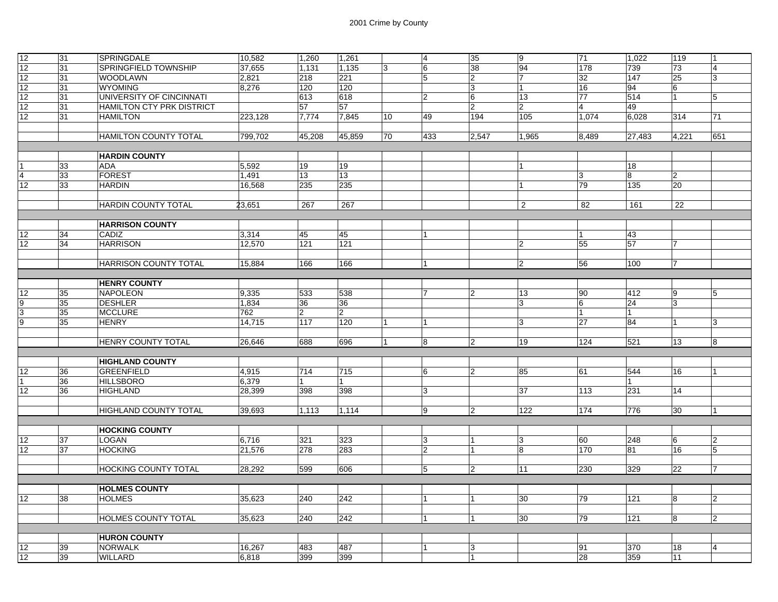| 12              | 31              | <b>SPRINGDALE</b>            | 10,582  | 1,260          | 1,261          |    | $\overline{4}$  | 35             | 9                | 71             | 1,022           | 119            | $\overline{1}$ |
|-----------------|-----------------|------------------------------|---------|----------------|----------------|----|-----------------|----------------|------------------|----------------|-----------------|----------------|----------------|
| 12              | 31              | SPRINGFIELD TOWNSHIP         | 37,655  | 1,131          | 1,135          | 13 | $6\overline{6}$ | 38             | 94               | 178            | 739             | 73             | 4              |
| 12              | 31              | <b>WOODLAWN</b>              | 2,821   | 218            | 221            |    | 5               | 12             | 17               | 32             | 147             | 25             | 3              |
| 12              | 31              | <b>WYOMING</b>               | 8,276   | 120            | 120            |    |                 | 13             | 11               | 16             | 94              | 6              |                |
| 12              | 31              | UNIVERSITY OF CINCINNATI     |         | 613            | 618            |    | $\overline{2}$  | 16             | 13               | 77             | 514             | $\overline{1}$ | 5              |
| 12              | 31              | HAMILTON CTY PRK DISTRICT    |         | 57             | 57             |    |                 | $\overline{2}$ | $\overline{2}$   | $\overline{4}$ | 49              |                |                |
| $\overline{12}$ | 31              | <b>HAMILTON</b>              | 223,128 | 7,774          | 7,845          | 10 | 49              | 194            | 105              | 1,074          | 6,028           | 314            | 71             |
|                 |                 |                              |         |                |                |    |                 |                |                  |                |                 |                |                |
|                 |                 | <b>HAMILTON COUNTY TOTAL</b> | 799,702 | 45,208         | 45,859         | 70 | 433             | 2,547          | 1,965            | 8,489          | 27,483          | 4,221          | 651            |
|                 |                 |                              |         |                |                |    |                 |                |                  |                |                 |                |                |
|                 |                 | <b>HARDIN COUNTY</b>         |         |                |                |    |                 |                |                  |                |                 |                |                |
|                 | 33              | <b>ADA</b>                   | 5,592   | 19             | 19             |    |                 |                | 11               |                | 18              |                |                |
| 4               | 33              | <b>FOREST</b>                | 1,491   | 13             | 13             |    |                 |                |                  | 3              | 8               | $\overline{2}$ |                |
| 12              | 33              | <b>HARDIN</b>                | 16,568  | 235            | 235            |    |                 |                |                  | 79             | 135             | 20             |                |
|                 |                 |                              |         |                |                |    |                 |                |                  |                |                 |                |                |
|                 |                 | <b>HARDIN COUNTY TOTAL</b>   | 23,651  | 267            | 267            |    |                 |                | 2                | 82             | 161             | 22             |                |
|                 |                 |                              |         |                |                |    |                 |                |                  |                |                 |                |                |
|                 |                 | <b>HARRISON COUNTY</b>       |         |                |                |    |                 |                |                  |                |                 |                |                |
| 12              | 34              | CADIZ                        | 3,314   | 45             | 45             |    |                 |                |                  |                | 43              |                |                |
| 12              | 34              | <b>HARRISON</b>              | 12,570  | 121            | 121            |    |                 |                | 2                | 55             | 57              | $\overline{7}$ |                |
|                 |                 |                              |         |                |                |    |                 |                |                  |                |                 |                |                |
|                 |                 | <b>HARRISON COUNTY TOTAL</b> | 15,884  | 166            | 166            |    |                 |                | $\overline{2}$   | 56             | 100             | 17             |                |
|                 |                 |                              |         |                |                |    |                 |                |                  |                |                 |                |                |
|                 |                 | <b>HENRY COUNTY</b>          |         |                |                |    |                 |                |                  |                |                 |                |                |
| 12              | 35              | NAPOLEON                     | 9,335   | 533            | 538            |    | 7               | 2              | 13               | 90             | 412             | 9              | 5              |
| $\overline{9}$  | $\overline{35}$ | <b>DESHLER</b>               | 1,834   | 36             | 36             |    |                 |                | 3                | 6              | $\overline{24}$ | 3              |                |
| 3               | 35              | <b>MCCLURE</b>               | 762     | $\overline{2}$ | $\overline{2}$ |    |                 |                |                  | $\overline{1}$ | 1               |                |                |
| $\overline{9}$  | 35              | <b>HENRY</b>                 | 14,715  | 117            | 120            |    |                 |                | 3                | 27             | 84              |                | 3              |
|                 |                 |                              |         |                |                |    |                 |                |                  |                |                 |                |                |
|                 |                 | HENRY COUNTY TOTAL           | 26,646  | 688            | 696            | 1  | $\bf 8$         | 2              | 19               | 124            | 521             | 13             | 8              |
|                 |                 |                              |         |                |                |    |                 |                |                  |                |                 |                |                |
|                 |                 | <b>HIGHLAND COUNTY</b>       |         |                |                |    |                 |                |                  |                |                 |                |                |
| 12              | 36              | <b>GREENFIELD</b>            | 4,915   | 714            | 715            |    | 6               | 2              | 85               | 61             | 544             | 16             |                |
|                 | 36              | <b>HILLSBORO</b>             | 6,379   |                | 1              |    |                 |                |                  |                |                 |                |                |
| $\overline{12}$ | $\overline{36}$ | <b>HIGHLAND</b>              | 28,399  | 398            | 398            |    | 3               |                | 37               | 113            | 231             | 14             |                |
|                 |                 |                              |         |                |                |    |                 |                |                  |                |                 |                |                |
|                 |                 | <b>HIGHLAND COUNTY TOTAL</b> | 39,693  | 1,113          | 1,114          |    | 9               | 2              | 122              | 174            | 776             | 30             |                |
|                 |                 |                              |         |                |                |    |                 |                |                  |                |                 |                |                |
|                 |                 | <b>HOCKING COUNTY</b>        |         |                |                |    |                 |                |                  |                |                 |                |                |
| 12              | 37              | <b>LOGAN</b>                 | 6,716   | 321            | 323            |    | 3               | <u> 1</u>      | $\overline{3}$   | 60             | 248             | 6              | 2              |
| 12 <sup>°</sup> | 37              | <b>HOCKING</b>               | 21,576  | 278            | 283            |    | $\overline{2}$  | 11             | $\boldsymbol{8}$ | 170            | 81              | 16             | 5              |
|                 |                 |                              |         |                |                |    |                 |                |                  |                |                 |                |                |
|                 |                 | <b>HOCKING COUNTY TOTAL</b>  | 28,292  | 599            | 606            |    | 5               | 2              | 11               | 230            | 329             | 22             | $\overline{7}$ |
|                 |                 |                              |         |                |                |    |                 |                |                  |                |                 |                |                |
|                 |                 | <b>HOLMES COUNTY</b>         |         |                |                |    |                 |                |                  |                |                 |                |                |
| 12              | 38              | <b>HOLMES</b>                | 35,623  | 240            | 242            |    |                 | 11             | 30               | 79             | 121             | 8              | $\overline{2}$ |
|                 |                 |                              |         |                |                |    |                 |                |                  |                |                 |                |                |
|                 |                 | HOLMES COUNTY TOTAL          | 35.623  | 240            | 242            |    | 1               | $\vert$ 1      | 30               | 79             | 121             | 8              | 12.            |
|                 |                 |                              |         |                |                |    |                 |                |                  |                |                 |                |                |
|                 |                 | <b>HURON COUNTY</b>          |         |                |                |    |                 |                |                  |                |                 |                |                |
| 12              | 39              | <b>NORWALK</b>               | 16,267  | 483            | 487            |    |                 | 3              |                  | 91             | 370             | 18             | 4              |
| 12              | 39              | <b>WILLARD</b>               | 6,818   | 399            | 399            |    |                 | <u> 1</u>      |                  | 28             | 359             | 11             |                |
|                 |                 |                              |         |                |                |    |                 |                |                  |                |                 |                |                |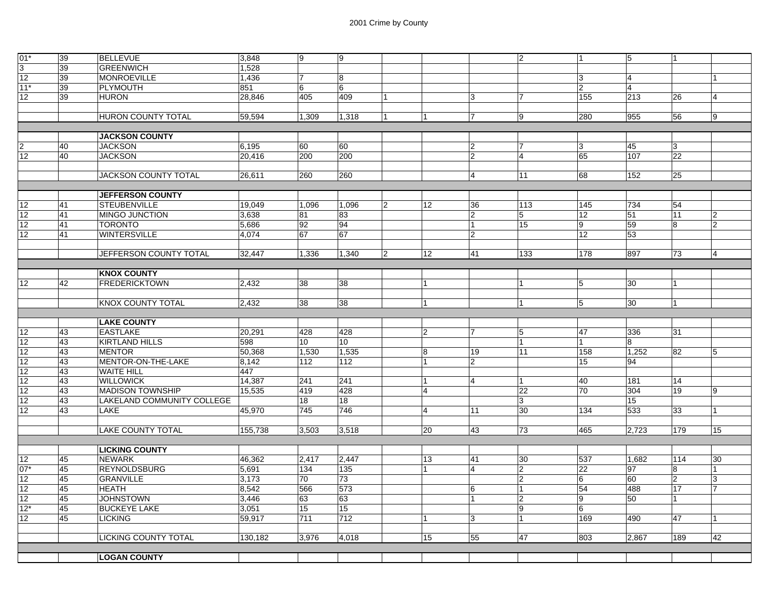| 01'             | 39 | <b>BELLEVUE</b>            | 3,848   | 9     | 9     |                |                |                | 2              | 11             | 5     |                |                |
|-----------------|----|----------------------------|---------|-------|-------|----------------|----------------|----------------|----------------|----------------|-------|----------------|----------------|
| $\overline{3}$  | 39 | <b>GREENWICH</b>           | 1,528   |       |       |                |                |                |                |                |       |                |                |
| 12              | 39 | <b>MONROEVILLE</b>         | 1,436   | 17    | 8     |                |                |                |                | 13             | 14    |                | 1              |
| $11*$           | 39 | <b>PLYMOUTH</b>            | 851     | 6     | 6     |                |                |                |                | 12             | 14    |                |                |
| 12              | 39 | <b>HURON</b>               | 28.846  | 405   | 409   |                |                | 3              | 7              | 155            | 213   | 26             | $\overline{4}$ |
|                 |    |                            |         |       |       |                |                |                |                |                |       |                |                |
|                 |    | HURON COUNTY TOTAL         | 59,594  | 1,309 | 1,318 |                | <u> 1</u>      | 17             | 19             | 280            | 955   | 56             | 9              |
|                 |    |                            |         |       |       |                |                |                |                |                |       |                |                |
|                 |    | <b>JACKSON COUNTY</b>      |         |       |       |                |                |                |                |                |       |                |                |
|                 | 40 | <b>JACKSON</b>             | 6,195   | 60    | 60    |                |                | 2              | 7              | 13             | 45    | 3              |                |
| 12              | 40 | <b>JACKSON</b>             | 20,416  | 200   | 200   |                |                | $\overline{2}$ | $\overline{4}$ | 65             | 107   | 22             |                |
|                 |    |                            |         |       |       |                |                |                |                |                |       |                |                |
|                 |    | JACKSON COUNTY TOTAL       | 26,611  | 260   | 260   |                |                | 14             | 11             | 68             | 152   | 25             |                |
|                 |    | <b>JEFFERSON COUNTY</b>    |         |       |       |                |                |                |                |                |       |                |                |
| 12              | 41 | <b>STEUBENVILLE</b>        | 19,049  | 1,096 | 1,096 | $\overline{2}$ | 12             | 36             | 113            | 145            | 734   | 54             |                |
| 12              | 41 | MINGO JUNCTION             | 3,638   | 81    | 83    |                |                | $\overline{2}$ | 5              | 12             | 51    | 11             | 2              |
| 12              | 41 | <b>TORONTO</b>             | 5,686   | 92    | 94    |                |                | $\mathbf{1}$   | 15             | 9              | 59    | 8              | 2              |
| 12              | 41 | <b>WINTERSVILLE</b>        | 4.074   | 67    | 67    |                |                | $\overline{2}$ |                | 12             | 53    |                |                |
|                 |    |                            |         |       |       |                |                |                |                |                |       |                |                |
|                 |    | JEFFERSON COUNTY TOTAL     | 32,447  | 1,336 | 1,340 | $\overline{2}$ | 12             | 41             | 133            | 178            | 897   | 73             | 4              |
|                 |    |                            |         |       |       |                |                |                |                |                |       |                |                |
|                 |    | <b>KNOX COUNTY</b>         |         |       |       |                |                |                |                |                |       |                |                |
| 12              | 42 | <b>FREDERICKTOWN</b>       | 2,432   | 38    | 38    |                | $\vert$ 1      |                | $\overline{1}$ | 5              | 30    | 1              |                |
|                 |    |                            |         |       |       |                |                |                |                |                |       |                |                |
|                 |    | <b>KNOX COUNTY TOTAL</b>   | 2,432   | 38    | 38    |                | <u> 1</u>      |                | $\overline{1}$ | 5              | 30    | 1              |                |
|                 |    |                            |         |       |       |                |                |                |                |                |       |                |                |
|                 |    |                            |         |       |       |                |                |                |                |                |       |                |                |
|                 |    | <b>LAKE COUNTY</b>         |         |       |       |                |                |                |                |                |       |                |                |
| $\overline{12}$ | 43 | <b>EASTLAKE</b>            | 20,291  | 428   | 428   |                | 2              | 17             | 5              | 47             | 336   | 31             |                |
| 12              | 43 | <b>KIRTLAND HILLS</b>      | 598     | 10    | 10    |                |                |                |                |                | 8     |                |                |
| 12              | 43 | <b>MENTOR</b>              | 50,368  | 1,530 | 1,535 |                | 8              | 19             | 11             | 158            | 1,252 | 82             | 5              |
| 12              | 43 | MENTOR-ON-THE-LAKE         | 8,142   | 112   | 112   |                | $\overline{1}$ | $\overline{2}$ |                | 15             | 94    |                |                |
| 12              | 43 | <b>WAITE HILL</b>          | 447     |       |       |                |                |                |                |                |       |                |                |
| 12              | 43 | <b>WILLOWICK</b>           | 14,387  | 241   | 241   |                | $\overline{1}$ | $\overline{4}$ |                | 40             | 181   | 14             |                |
| 12              | 43 | <b>MADISON TOWNSHIP</b>    | 15,535  | 419   | 428   |                | $\overline{4}$ |                | 22             | 70             | 304   | 19             | 19             |
| 12              | 43 | LAKELAND COMMUNITY COLLEGE |         | 18    | 18    |                |                |                | $\overline{3}$ |                | 15    |                |                |
| 12              | 43 | LAKE                       | 45,970  | 745   | 746   |                | $\overline{4}$ | 11             | 30             | 134            | 533   | 33             |                |
|                 |    |                            |         |       |       |                |                |                |                |                |       |                |                |
|                 |    | <b>LAKE COUNTY TOTAL</b>   | 155,738 | 3,503 | 3,518 |                | 20             | 43             | 73             | 465            | 2,723 | 179            | 15             |
|                 |    | <b>LICKING COUNTY</b>      |         |       |       |                |                |                |                |                |       |                |                |
| 12              | 45 | <b>NEWARK</b>              | 46,362  | 2,417 | 2,447 |                | 13             | 41             | 30             | 537            | 1,682 | 114            | 30             |
| $07*$           | 45 | <b>REYNOLDSBURG</b>        | 5,691   | 134   | 135   |                |                | $\overline{4}$ | $\overline{2}$ | 22             | 97    | 8              | 1              |
| 12              | 45 | <b>GRANVILLE</b>           | 3,173   | 70    | 73    |                |                |                | $\overline{2}$ | $\overline{6}$ | 60    | $\overline{2}$ | 3              |
| 12              | 45 | <b>HEATH</b>               | 8,542   | 566   | 573   |                |                | 6              |                | 54             | 488   | 17             | 7              |
| 12              | 45 | <b>JOHNSTOWN</b>           | 3,446   | 63    | 63    |                |                | 1              | 2              | 9              | 50    | 1              |                |
| $12*$           | 45 | <b>BUCKEYE LAKE</b>        | 3,051   | 15    | 15    |                |                |                | 9              | $6\phantom{.}$ |       |                |                |
| 12              | 45 | <b>LICKING</b>             | 59,917  | 711   | 712   |                | $\overline{1}$ | 3              | $\overline{1}$ | 169            | 490   | 47             | 1              |
|                 |    |                            |         |       |       |                |                |                |                |                |       |                |                |
|                 |    | LICKING COUNTY TOTAL       | 130,182 | 3,976 | 4,018 |                | 15             | 55             | 47             | 803            | 2,867 | 189            | 42             |
|                 |    | <b>LOGAN COUNTY</b>        |         |       |       |                |                |                |                |                |       |                |                |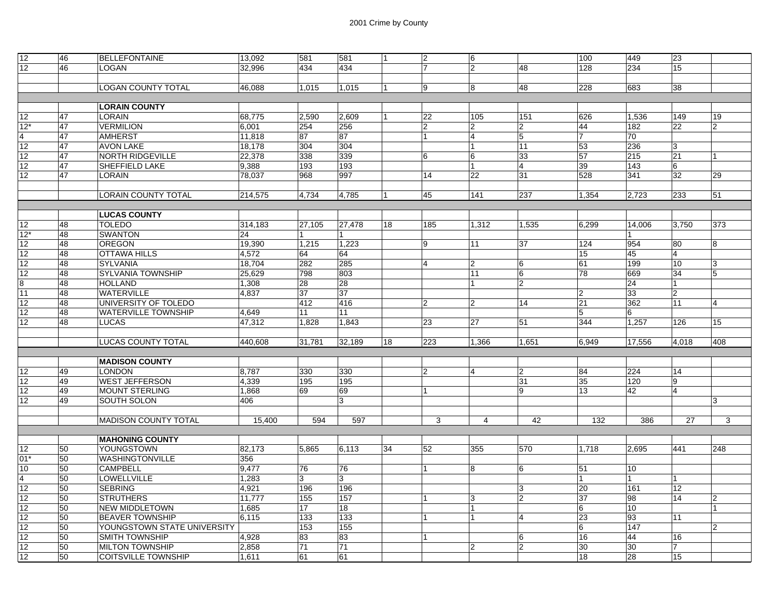| 12             | 46 | <b>BELLEFONTAINE</b>        | 13,092  | 581    | 581             | 11             | $\overline{2}$ | 16             |                | 100            | 449            | 23             |                |
|----------------|----|-----------------------------|---------|--------|-----------------|----------------|----------------|----------------|----------------|----------------|----------------|----------------|----------------|
| 12             | 46 | <b>LOGAN</b>                | 32.996  | 434    | 434             |                | $\overline{7}$ | $\overline{2}$ | 48             | 128            | 234            | 15             |                |
|                |    |                             |         |        |                 |                |                |                |                |                |                |                |                |
|                |    | <b>LOGAN COUNTY TOTAL</b>   | 46,088  | 1,015  | 1,015           | $\overline{1}$ | 9              | 8              | 48             | 228            | 683            | 38             |                |
|                |    |                             |         |        |                 |                |                |                |                |                |                |                |                |
|                |    | <b>LORAIN COUNTY</b>        |         |        |                 |                |                |                |                |                |                |                |                |
| 12             | 47 | <b>LORAIN</b>               | 68,775  | 2,590  | 2,609           |                | 22             | 105            | 151            | 626            | 1,536          | 149            | 19             |
| $12*$          | 47 | <b>VERMILION</b>            | 6,001   | 254    | 256             |                | $\overline{2}$ | $\overline{2}$ | $\overline{2}$ | 44             | 182            | 22             | $\overline{2}$ |
| $\overline{4}$ | 47 | <b>AMHERST</b>              | 11,818  | 87     | 87              |                | $\overline{1}$ | $\overline{4}$ | 5              | $\overline{7}$ | 70             |                |                |
| 12             | 47 | <b>AVON LAKE</b>            | 18,178  | 304    | 304             |                |                | $\mathbf 1$    | 11             | 53             | 236            | 3              |                |
| 12             | 47 | NORTH RIDGEVILLE            | 22,378  | 338    | 339             |                | 6              | 16             | 33             | 57             | 215            | 21             |                |
| 12             | 47 | <b>SHEFFIELD LAKE</b>       | 9,388   | 193    | 193             |                |                |                | $\overline{4}$ | 39             | 143            | 6              |                |
| 12             | 47 | <b>LORAIN</b>               | 78,037  | 968    | 997             |                | 14             | 22             | 31             | 528            | 341            | 32             | 29             |
|                |    |                             |         |        |                 |                |                |                |                |                |                |                |                |
|                |    | <b>LORAIN COUNTY TOTAL</b>  | 214,575 | 4.734  | 4.785           | 11             | 45             | 141            | 237            | 1,354          | 2,723          | 233            | 51             |
|                |    |                             |         |        |                 |                |                |                |                |                |                |                |                |
|                |    | <b>LUCAS COUNTY</b>         |         |        |                 |                |                |                |                |                |                |                |                |
| 12             | 48 | <b>TOLEDO</b>               | 314,183 | 27,105 | 27.478          | 18             | 185            | 1,312          | 1,535          | 6,299          | 14.006         | 3.750          | 373            |
| $12*$          | 48 | <b>SWANTON</b>              | 24      | 1      | 1               |                |                |                |                |                |                |                |                |
| 12             | 48 | <b>OREGON</b>               | 19,390  | 1,215  | 1,223           |                | 9              | 11             | 37             | 124            | 954            | 80             | 8              |
| 12             | 48 | <b>OTTAWA HILLS</b>         | 4,572   | 64     | 64              |                |                |                |                | 15             | 45             | 4              |                |
| 12             | 48 | <b>SYLVANIA</b>             | 18,704  | 282    | 285             |                | $\overline{4}$ | $\overline{2}$ | 6              | 61             | 199            | 10             | 3              |
| 12             | 48 | <b>SYLVANIA TOWNSHIP</b>    | 25,629  | 798    | 803             |                |                | 11             | 6              | 78             | 669            | 34             | 5              |
| 8              | 48 | <b>HOLLAND</b>              | 1,308   | 28     | 28              |                |                | 1              | $\overline{2}$ |                | 24             |                |                |
| 11             | 48 | <b>WATERVILLE</b>           | 4,837   | 37     | 37              |                |                |                |                | $\overline{2}$ | 33             | $\overline{2}$ |                |
| 12             | 48 | UNIVERSITY OF TOLEDO        |         | 412    | 416             |                | $\overline{2}$ | $\overline{2}$ | 14             | 21             | 362            | 11             | 4              |
| 12             | 48 | <b>WATERVILLE TOWNSHIP</b>  | 4,649   | 11     | 11              |                |                |                |                | $\overline{5}$ | 16             |                |                |
| 12             | 48 | <b>LUCAS</b>                | 47,312  | 1,828  | 1,843           |                | 23             | 27             | 51             | 344            | 1,257          | 126            | 15             |
|                |    |                             |         |        |                 |                |                |                |                |                |                |                |                |
|                |    | <b>LUCAS COUNTY TOTAL</b>   | 440,608 | 31,781 | 32,189          | 18             | 223            | 1,366          | 1,651          | 6,949          | 17,556         | 4,018          | 408            |
|                |    |                             |         |        |                 |                |                |                |                |                |                |                |                |
|                |    | <b>MADISON COUNTY</b>       |         |        |                 |                |                |                |                |                |                |                |                |
| 12             | 49 | <b>LONDON</b>               | 8,787   | 330    | 330             |                | $\overline{2}$ | $\overline{4}$ | $\overline{2}$ | 84             | 224            | 14             |                |
| 12             | 49 | <b>WEST JEFFERSON</b>       | 4,339   | 195    | 195             |                |                |                | 31             | 35             | 120            | 9              |                |
| 12             | 49 | <b>MOUNT STERLING</b>       | 1,868   | 69     | 69              |                |                |                | 9              | 13             | 42             | 4              |                |
| 12             | 49 | SOUTH SOLON                 | 406     |        | 3               |                |                |                |                |                |                |                | 3              |
|                |    |                             |         |        |                 |                |                |                |                |                |                |                |                |
|                |    | <b>MADISON COUNTY TOTAL</b> | 15,400  | 594    | 597             |                | 3              | 4              | 42             | 132            | 386            | 27             | 3              |
|                |    |                             |         |        |                 |                |                |                |                |                |                |                |                |
|                |    | <b>MAHONING COUNTY</b>      |         |        |                 |                |                |                |                |                |                |                |                |
| 12             | 50 | YOUNGSTOWN                  | 82.173  | 5.865  | 6.113           | 34             | 52             | 355            | 570            | 1.718          | 2.695          | 441            | 248            |
| $01*$          | 50 | WASHINGTONVILLE             | 356     |        |                 |                |                |                |                |                |                |                |                |
| 10             | 50 | <b>CAMPBELL</b>             | 9,477   | 76     | 76              |                |                | 8              | 6              | 51             | 10             |                |                |
| $\overline{4}$ | 50 | <b>LOWELLVILLE</b>          | 1,283   | 3      | 3               |                |                |                |                | 1              | $\overline{1}$ |                |                |
| 12             | 50 | <b>SEBRING</b>              | 4,921   | 196    | 196             |                |                |                | 3              | 20             | 161            | 12             |                |
| 12             | 50 | <b>STRUTHERS</b>            | 11,777  | 155    | 157             |                |                | 3              | $\overline{2}$ | 37             | 98             | 14             | $\overline{2}$ |
| 12             | 50 | <b>NEW MIDDLETOWN</b>       | 1,685   | 17     | 18              |                |                | 1              |                | 6              | 10             |                | 1              |
| 12             | 50 | <b>BEAVER TOWNSHIP</b>      | 6,115   | 133    | 133             |                |                | -1             | $\overline{4}$ | 23             | 93             | 11             |                |
| 12             | 50 | YOUNGSTOWN STATE UNIVERSITY |         | 153    | 155             |                |                |                |                | 6              | 147            |                | $\overline{2}$ |
| 12             | 50 | <b>SMITH TOWNSHIP</b>       | 4,928   | 83     | 83              |                |                |                | 6              | 16             | 44             | 16             |                |
| 12             | 50 | <b>MILTON TOWNSHIP</b>      | 2,858   | 71     | $\overline{71}$ |                |                | $\overline{2}$ | $\overline{2}$ | 30             | 30             | 7              |                |
| 12             | 50 | <b>COITSVILLE TOWNSHIP</b>  | 1,611   | 61     | 61              |                |                |                |                | 18             | 28             | 15             |                |
|                |    |                             |         |        |                 |                |                |                |                |                |                |                |                |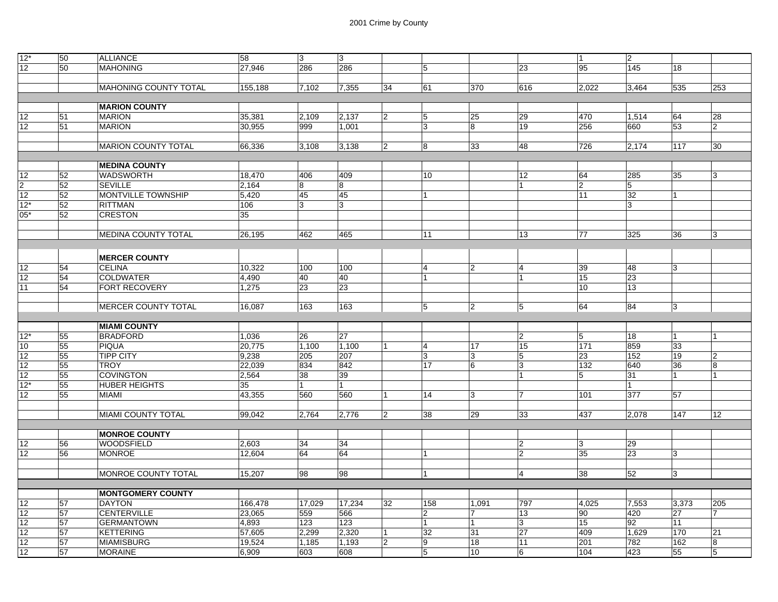| $12*$          | 50              | <b>ALLIANCE</b>            | 58      | 3      | 13             |                |                         |                |                 | 1               | $\overline{2}$ |       |                |
|----------------|-----------------|----------------------------|---------|--------|----------------|----------------|-------------------------|----------------|-----------------|-----------------|----------------|-------|----------------|
| 12             | 50              | <b>MAHONING</b>            | 27,946  | 286    | 286            |                | 5                       |                | 23              | 95              | 145            | 18    |                |
|                |                 |                            |         |        |                |                |                         |                |                 |                 |                |       |                |
|                |                 | MAHONING COUNTY TOTAL      | 155,188 | 7,102  | 7,355          | 34             | 61                      | 370            | 616             | 2,022           | 3,464          | 535   | 253            |
|                |                 |                            |         |        |                |                |                         |                |                 |                 |                |       |                |
|                |                 | <b>MARION COUNTY</b>       |         |        |                |                |                         |                |                 |                 |                |       |                |
| 12             | 51              | <b>MARION</b>              | 35,381  | 2,109  | 2,137          | 2              | $\overline{5}$          | 25             | 29              | 470             | 1,514          | 64    | 28             |
| 12             | 51              | <b>MARION</b>              | 30,955  | 999    | 1,001          |                | 3                       | 8              | 19              | 256             | 660            | 53    | $\overline{2}$ |
|                |                 |                            |         |        |                |                |                         |                |                 |                 |                |       |                |
|                |                 | <b>MARION COUNTY TOTAL</b> | 66,336  | 3,108  | 3,138          | $\overline{2}$ | 8                       | 33             | 48              | 726             | 2,174          | 117   | 30             |
|                |                 |                            |         |        |                |                |                         |                |                 |                 |                |       |                |
|                |                 | <b>MEDINA COUNTY</b>       |         |        |                |                |                         |                |                 |                 |                |       |                |
| 12             | 52              | <b>WADSWORTH</b>           | 18,470  | 406    | 409            |                | 10                      |                | 12              | 64              | 285            | 35    | 3              |
| $\frac{2}{12}$ | 52              | <b>SEVILLE</b>             | 2,164   | 8      | 8              |                |                         |                |                 | 2               | 5              |       |                |
|                | 52              | MONTVILLE TOWNSHIP         | 5,420   | 45     | 45             |                | 1                       |                |                 | 11              | 32             | 1     |                |
| $12*$          | 52              | <b>RITTMAN</b>             | 106     | 3      | 13             |                |                         |                |                 |                 | 3              |       |                |
| $05*$          | 52              | <b>CRESTON</b>             | 35      |        |                |                |                         |                |                 |                 |                |       |                |
|                |                 |                            |         |        |                |                |                         |                |                 |                 |                |       |                |
|                |                 | <b>MEDINA COUNTY TOTAL</b> | 26,195  | 462    | 465            |                | 11                      |                | 13              | 77              | 325            | 36    | 3              |
|                |                 |                            |         |        |                |                |                         |                |                 |                 |                |       |                |
|                |                 | <b>MERCER COUNTY</b>       |         |        |                |                |                         |                |                 |                 |                |       |                |
| 12             | 54              | <b>CELINA</b>              | 10,322  | 100    | 100            |                | 4                       | $\overline{2}$ | $\overline{4}$  | 39              | 48             | 3     |                |
| 12             | 54              | <b>COLDWATER</b>           | 4,490   | 40     | 40             |                | 1                       |                | 1               | 15              | 23             |       |                |
| 11             | 54              | FORT RECOVERY              | 1,275   | 23     | 23             |                |                         |                |                 | 10              | 13             |       |                |
|                |                 |                            |         |        |                |                |                         |                |                 |                 |                |       |                |
|                |                 | MERCER COUNTY TOTAL        | 16,087  | 163    | 163            |                | $\sqrt{5}$              | $\overline{2}$ | 5               | 64              | 84             | l3    |                |
|                |                 |                            |         |        |                |                |                         |                |                 |                 |                |       |                |
|                |                 | <b>MIAMI COUNTY</b>        |         |        |                |                |                         |                |                 |                 |                |       |                |
| $12*$          | 55              | <b>BRADFORD</b>            | 1,036   | 26     | 27             |                |                         |                | $\overline{2}$  | $\overline{5}$  | 18             |       |                |
| 10             | 55              | <b>PIQUA</b>               | 20,775  | 1,100  | 1,100          |                | 4                       | 17             | 15              | 171             | 859            | 33    |                |
| 12             | 55              | <b>TIPP CITY</b>           | 9,238   | 205    | 207            |                | 3                       | 3              | 5               | $\overline{23}$ | 152            | 19    | 2              |
| 12             | 55              | <b>TROY</b>                | 22,039  | 834    | 842            |                | 17                      | 6              | 3               | 132             | 640            | 36    | 8              |
| 12             | 55              | <b>COVINGTON</b>           | 2,564   | 38     | 39             |                |                         |                |                 | 5               | 31             | 1     |                |
| $12*$          | 55              | <b>HUBER HEIGHTS</b>       | 35      | 1      | $\overline{1}$ |                |                         |                |                 |                 |                |       |                |
| 12             | 55              | <b>MIAMI</b>               | 43,355  | 560    | 560            | l 1            | 14                      | 3              | 7               | 101             | 377            | 57    |                |
|                |                 |                            |         |        |                |                |                         |                |                 |                 |                |       |                |
|                |                 | MIAMI COUNTY TOTAL         | 99,042  | 2,764  | 2,776          | $\overline{2}$ | 38                      | 29             | 33              | 437             | 2,078          | 147   | 12             |
|                |                 |                            |         |        |                |                |                         |                |                 |                 |                |       |                |
|                |                 | <b>MONROE COUNTY</b>       |         |        |                |                |                         |                |                 |                 |                |       |                |
| 12             | 56              | <b>WOODSFIELD</b>          | 2,603   | 34     | 34             |                |                         |                | $ 2\rangle$     | 13              | 29             |       |                |
| 12             | 56              | <b>MONROE</b>              | 12,604  | 64     | 64             |                | $\overline{1}$          |                | $ 2\rangle$     | 35              | 23             | l3    |                |
|                |                 |                            |         |        |                |                |                         |                |                 |                 |                |       |                |
|                |                 | MONROE COUNTY TOTAL        | 15,207  | 98     | 98             |                | $\overline{1}$          |                | $\overline{4}$  | 38              | 52             | 3     |                |
|                |                 |                            |         |        |                |                |                         |                |                 |                 |                |       |                |
|                |                 | <b>MONTGOMERY COUNTY</b>   |         |        |                |                |                         |                |                 |                 |                |       |                |
| 12             | 57              | <b>DAYTON</b>              | 166,478 | 17,029 | 17,234         | 32             | 158                     | 1,091          | 797             | 4,025           | 7,553          | 3,373 | 205            |
| 12             | 57              | CENTERVILLE                | 23,065  | 559    | 566            |                | $\overline{\mathbf{c}}$ | 7              | 13              | 90              | 420            | 27    | 7              |
| 12             | 57              | <b>GERMANTOWN</b>          | 4,893   | 123    | 123            |                | 1                       |                | 3               | 15              | 92             | 11    |                |
| 12             | 57              | <b>KETTERING</b>           | 57,605  | 2,299  | 2,320          | 11             | 32                      | 31             | 27              | 409             | 1,629          | 170   | 21             |
| 12             | $\overline{57}$ | <b>MIAMISBURG</b>          | 19,524  | 1,185  | 1,193          | $\overline{2}$ | $\overline{9}$          | 18             | $\overline{11}$ | 201             | 782            | 162   | 8              |
| 12             | 57              | <b>MORAINE</b>             | 6,909   | 603    | 608            |                | 5                       | 10             | 6               | 104             | 423            | 55    | 5              |
|                |                 |                            |         |        |                |                |                         |                |                 |                 |                |       |                |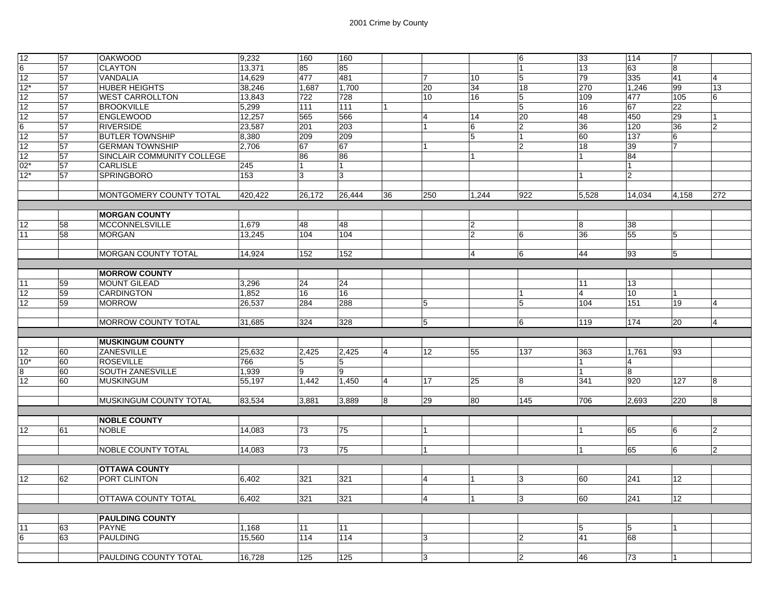|                |    |                               |         | 160    |        |    |                  |                 |                | 33             | 114            | 17              |                |
|----------------|----|-------------------------------|---------|--------|--------|----|------------------|-----------------|----------------|----------------|----------------|-----------------|----------------|
| 12             | 57 | <b>OAKWOOD</b>                | 9,232   |        | 160    |    |                  |                 | 6              |                |                |                 |                |
| $6\phantom{1}$ | 57 | <b>CLAYTON</b>                | 13,371  | 85     | 85     |    |                  |                 | 11             | 13             | 63             | 8               |                |
| 12             | 57 | <b>VANDALIA</b>               | 14,629  | 477    | 481    |    | $\overline{7}$   | 10              | 5              | 79             | 335            | 41              | $\Delta$       |
| $12*$          | 57 | <b>HUBER HEIGHTS</b>          | 38,246  | 1.687  | 1.700  |    | 20               | 34              | 18             | 270            | 1.246          | 99              | 13             |
| 12             | 57 | <b>WEST CARROLLTON</b>        | 13,843  | 722    | 728    |    | 10 <sup>10</sup> | 16              | 5              | 109            | 477            | 105             | 6              |
| 12             | 57 | <b>BROOKVILLE</b>             | 5,299   | 111    | 111    |    |                  |                 | $\sqrt{5}$     | 16             | 67             | 22              |                |
| 12             | 57 | <b>ENGLEWOOD</b>              | 12,257  | 565    | 566    |    | $\overline{4}$   | 14              | 20             | 48             | 450            | 29              |                |
| 6              | 57 | <b>RIVERSIDE</b>              | 23,587  | 201    | 203    |    |                  | 16              | $\overline{2}$ | 36             | 120            | 36              | $\overline{2}$ |
| 12             | 57 | <b>BUTLER TOWNSHIP</b>        | 8,380   | 209    | 209    |    |                  | 5               | 11             | 60             | 137            | 6               |                |
|                |    |                               |         |        |        |    |                  |                 |                |                |                |                 |                |
| 12             | 57 | <b>GERMAN TOWNSHIP</b>        | 2.706   | 67     | 67     |    |                  |                 | $ 2\rangle$    | 18             | 39             |                 |                |
| 12             | 57 | SINCLAIR COMMUNITY COLLEGE    |         | 86     | 86     |    |                  | $\overline{1}$  |                | $\overline{1}$ | 84             |                 |                |
| $02*$          | 57 | <b>CARLISLE</b>               | 245     | 1      | 1      |    |                  |                 |                |                | 11             |                 |                |
| $12*$          | 57 | <b>SPRINGBORO</b>             | 153     | 3      | 3      |    |                  |                 |                |                | $\overline{2}$ |                 |                |
|                |    |                               |         |        |        |    |                  |                 |                |                |                |                 |                |
|                |    | MONTGOMERY COUNTY TOTAL       | 420,422 | 26,172 | 26,444 | 36 | 250              | 1,244           | 922            | 5,528          | 14,034         | 4,158           | 272            |
|                |    |                               |         |        |        |    |                  |                 |                |                |                |                 |                |
|                |    | <b>MORGAN COUNTY</b>          |         |        |        |    |                  |                 |                |                |                |                 |                |
| 12             | 58 | <b>MCCONNELSVILLE</b>         | 1,679   | 48     | 48     |    |                  | 2               |                | 8              | 38             |                 |                |
| 11             | 58 | <b>MORGAN</b>                 | 13,245  | 104    | 104    |    |                  | 2               | 6              | 36             | 55             | $5\phantom{.0}$ |                |
|                |    |                               |         |        |        |    |                  |                 |                |                |                |                 |                |
|                |    | <b>MORGAN COUNTY TOTAL</b>    | 14,924  | 152    | 152    |    |                  | $\vert 4 \vert$ | 16             | 44             | 93             | $5\overline{5}$ |                |
|                |    |                               |         |        |        |    |                  |                 |                |                |                |                 |                |
|                |    |                               |         |        |        |    |                  |                 |                |                |                |                 |                |
|                |    | <b>MORROW COUNTY</b>          |         |        |        |    |                  |                 |                |                |                |                 |                |
| 11             | 59 | <b>MOUNT GILEAD</b>           | 3,296   | 24     | 24     |    |                  |                 |                | 11             | 13             |                 |                |
| 12             | 59 | <b>CARDINGTON</b>             | 1,852   | 16     | 16     |    |                  |                 |                | $\overline{4}$ | 10             |                 |                |
| 12             | 59 | <b>MORROW</b>                 | 26.537  | 284    | 288    |    | $\overline{5}$   |                 | 15             | 104            | 151            | 19              | $\overline{4}$ |
|                |    |                               |         |        |        |    |                  |                 |                |                |                |                 |                |
|                |    | MORROW COUNTY TOTAL           | 31,685  | 324    | 328    |    | 5                |                 | 6              | 119            | 174            | 20              | $\overline{4}$ |
|                |    |                               |         |        |        |    |                  |                 |                |                |                |                 |                |
|                |    | <b>MUSKINGUM COUNTY</b>       |         |        |        |    |                  |                 |                |                |                |                 |                |
| 12             | 60 | ZANESVILLE                    | 25,632  | 2,425  | 2,425  | 4  | 12               | 55              | 137            | 363            | 1,761          | 93              |                |
| $10*$          | 60 | <b>ROSEVILLE</b>              | 766     | 5      | 5      |    |                  |                 |                |                | $\overline{4}$ |                 |                |
| 8              | 60 | <b>SOUTH ZANESVILLE</b>       | 1,939   | 9      | 9      |    |                  |                 |                | $\overline{1}$ | 8              |                 |                |
| 12             | 60 | <b>MUSKINGUM</b>              | 55,197  | 1,442  | 1,450  | Δ  | 17               | 25              | 8              | 341            | 920            | 127             | 8              |
|                |    |                               |         |        |        |    |                  |                 |                |                |                |                 |                |
|                |    | <b>MUSKINGUM COUNTY TOTAL</b> | 83,534  | 3,881  | 3,889  | 8  | 29               | 80              | 145            | 706            | 2,693          | 220             | 8              |
|                |    |                               |         |        |        |    |                  |                 |                |                |                |                 |                |
|                |    | <b>NOBLE COUNTY</b>           |         |        |        |    |                  |                 |                |                |                |                 |                |
|                |    |                               |         |        |        |    |                  |                 |                |                |                |                 |                |
| 12             | 61 | <b>NOBLE</b>                  | 14,083  | 73     | 75     |    |                  |                 |                |                | 65             | 6               | $\overline{2}$ |
|                |    |                               |         |        |        |    |                  |                 |                |                |                |                 |                |
|                |    | NOBLE COUNTY TOTAL            | 14,083  | 73     | 75     |    | $\overline{1}$   |                 |                | 11             | 65             | 6               | $\overline{2}$ |
|                |    |                               |         |        |        |    |                  |                 |                |                |                |                 |                |
|                |    | <b>OTTAWA COUNTY</b>          |         |        |        |    |                  |                 |                |                |                |                 |                |
| 12             | 62 | PORT CLINTON                  | 6,402   | 321    | 321    |    | $\overline{4}$   | $\overline{1}$  | 3              | 60             | 241            | 12 <sub>2</sub> |                |
|                |    |                               |         |        |        |    |                  |                 |                |                |                |                 |                |
|                |    | <b>OTTAWA COUNTY TOTAL</b>    | 6,402   | 321    | 321    |    | $\overline{4}$   | <u> 1</u>       | $\overline{3}$ | 60             | 241            | 12              |                |
|                |    |                               |         |        |        |    |                  |                 |                |                |                |                 |                |
|                |    | <b>PAULDING COUNTY</b>        |         |        |        |    |                  |                 |                |                |                |                 |                |
| 11             | 63 | <b>PAYNE</b>                  | 1,168   | 11     | 11     |    |                  |                 |                | 15             | 5              |                 |                |
| 6              | 63 | <b>PAULDING</b>               | 15,560  | 114    | 114    |    | 3                |                 | $\overline{2}$ | 41             | 68             |                 |                |
|                |    |                               |         |        |        |    |                  |                 |                |                |                |                 |                |
|                |    | <b>PAULDING COUNTY TOTAL</b>  | 16,728  | 125    | 125    |    | 3                |                 | $\overline{2}$ | 46             | 73             |                 |                |
|                |    |                               |         |        |        |    |                  |                 |                |                |                |                 |                |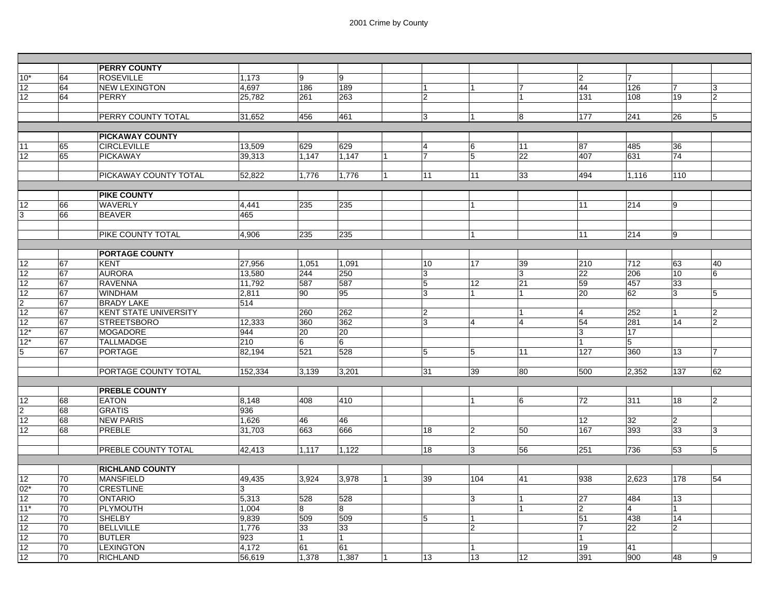|                 |    | <b>PERRY COUNTY</b>          |         |       |       |                 |                |                  |                |                 |                         |                |
|-----------------|----|------------------------------|---------|-------|-------|-----------------|----------------|------------------|----------------|-----------------|-------------------------|----------------|
| 10*             | 64 | <b>ROSEVILLE</b>             | 1,173   | 9     | 9     |                 |                |                  | 2              | $\overline{7}$  |                         |                |
| 12              | 64 | <b>NEW LEXINGTON</b>         | 4,697   | 186   | 189   | $\mathbf{1}$    | $\overline{1}$ | 7                | 44             | 126             | $\overline{7}$          | 3              |
| 12              | 64 | <b>PERRY</b>                 | 25.782  | 261   | 263   | $\overline{2}$  |                |                  | 131            | 108             | 19                      | $\overline{2}$ |
|                 |    |                              |         |       |       |                 |                |                  |                |                 |                         |                |
|                 |    | PERRY COUNTY TOTAL           | 31,652  | 456   | 461   | $\overline{3}$  | 11             | $\boldsymbol{8}$ | 177            | 241             | 26                      | $\overline{5}$ |
|                 |    |                              |         |       |       |                 |                |                  |                |                 |                         |                |
|                 |    | <b>PICKAWAY COUNTY</b>       |         |       |       |                 |                |                  |                |                 |                         |                |
| 11              | 65 | <b>CIRCLEVILLE</b>           | 13,509  | 629   | 629   | 4               | 6              | 11               | 87             | 485             | 36                      |                |
| 12              | 65 | <b>PICKAWAY</b>              | 39,313  | 1.147 | 1,147 | $\overline{7}$  | 5              | 22               | 407            | 631             | 74                      |                |
|                 |    |                              |         |       |       |                 |                |                  |                |                 |                         |                |
|                 |    | PICKAWAY COUNTY TOTAL        | 52,822  | 1,776 | 1,776 | 11              | 11             | 33               | 494            | 1,116           | 110                     |                |
|                 |    |                              |         |       |       |                 |                |                  |                |                 |                         |                |
|                 |    | <b>PIKE COUNTY</b>           |         |       |       |                 |                |                  |                |                 |                         |                |
| 12              | 66 | <b>WAVERLY</b>               | 4,441   | 235   | 235   |                 | 1              |                  | 11             | 214             | 9                       |                |
| 3               | 66 | <b>BEAVER</b>                | 465     |       |       |                 |                |                  |                |                 |                         |                |
|                 |    |                              |         |       |       |                 |                |                  |                |                 |                         |                |
|                 |    | PIKE COUNTY TOTAL            | 4.906   | 235   | 235   |                 | 11             |                  | 11             | 214             | 9                       |                |
|                 |    |                              |         |       |       |                 |                |                  |                |                 |                         |                |
|                 |    | <b>PORTAGE COUNTY</b>        |         |       |       |                 |                |                  |                |                 |                         |                |
| 12              | 67 | <b>KENT</b>                  | 27,956  | 1,051 | 1,091 | 10              | 17             | 39               | 210            | 712             | 63                      | 40             |
| 12              | 67 | <b>AURORA</b>                | 13,580  | 244   | 250   | $\overline{3}$  |                | $\overline{3}$   | 22             | 206             | 10                      | 6              |
| 12              | 67 | <b>RAVENNA</b>               | 11.792  | 587   | 587   | $5\phantom{.0}$ | 12             | 21               | 59             | 457             | 33                      |                |
| 12              | 67 | <b>WINDHAM</b>               | 2,811   | 90    | 95    | $\overline{3}$  | 1              | $\overline{1}$   | 20             | 62              | 3                       | 5              |
| $\mathcal{P}$   | 67 | <b>BRADY LAKE</b>            | 514     |       |       |                 |                |                  |                |                 |                         |                |
| 12              | 67 | <b>KENT STATE UNIVERSITY</b> |         | 260   | 262   | $\overline{2}$  |                | $\overline{1}$   | $\overline{4}$ | 252             | 1                       | $\overline{2}$ |
| 12              | 67 | <b>STREETSBORO</b>           | 12,333  | 360   | 362   | $\overline{3}$  | $\overline{4}$ | $\overline{4}$   | 54             | 281             | 14                      | $\overline{2}$ |
| $12*$           | 67 | <b>MOGADORE</b>              | 944     | 20    | 20    |                 |                |                  | 13             | 17              |                         |                |
| $12*$           | 67 | <b>TALLMADGE</b>             | 210     | 6     | 6     |                 |                |                  |                | 5               |                         |                |
| 5               | 67 | <b>PORTAGE</b>               | 82.194  | 521   | 528   | $5\phantom{.0}$ | 5              | 11               | 127            | 360             | 13                      | 7              |
|                 |    |                              |         |       |       |                 |                |                  |                |                 |                         |                |
|                 |    | PORTAGE COUNTY TOTAL         | 152,334 | 3.139 | 3.201 | 31              | 39             | 80               | 500            | 2,352           | 137                     | 62             |
|                 |    |                              |         |       |       |                 |                |                  |                |                 |                         |                |
|                 |    | <b>PREBLE COUNTY</b>         |         |       |       |                 |                |                  |                |                 |                         |                |
| 12              | 68 | <b>EATON</b>                 | 8.148   | 408   | 410   |                 | $\overline{1}$ | 6                | 72             | 311             | 18                      | $\overline{2}$ |
| $\mathfrak{p}$  | 68 | <b>GRATIS</b>                | 936     |       |       |                 |                |                  |                |                 |                         |                |
|                 |    | <b>NEW PARIS</b>             |         | 46    | 46    |                 |                |                  |                |                 |                         |                |
| 12              | 68 | PREBLE                       | 1,626   | 663   |       |                 |                |                  | 12             | 32              | $\overline{\mathbf{c}}$ |                |
| 12              | 68 |                              | 31,703  |       | 666   | 18              | $\overline{2}$ | 50               | 167            | 393             | 33                      | 3              |
|                 |    |                              |         |       |       |                 |                |                  |                |                 |                         |                |
|                 |    | PREBLE COUNTY TOTAL          | 42.413  | 1.117 | 1,122 | 18              | 3              | 56               | 251            | 736             | 53                      | 5              |
|                 |    |                              |         |       |       |                 |                |                  |                |                 |                         |                |
|                 |    | <b>RICHLAND COUNTY</b>       |         |       |       |                 |                |                  |                |                 |                         |                |
| 12              | 70 | <b>MANSFIELD</b>             | 49,435  | 3.924 | 3,978 | 39              | 104            | 41               | 938            | 2,623           | 178                     | 54             |
| $02*$           | 70 | <b>CRESTLINE</b>             | 3       |       |       |                 |                |                  |                |                 |                         |                |
| 12              | 70 | <b>ONTARIO</b>               | 5,313   | 528   | 528   |                 | 3              | 1                | 27             | 484             | 13                      |                |
| $11*$           | 70 | PLYMOUTH                     | 1,004   | 8     | 8     |                 |                | 1                | $\overline{2}$ | $\overline{4}$  | 1                       |                |
| 12              | 70 | <b>SHELBY</b>                | 9.839   | 509   | 509   | 5               | l 1            |                  | 51             | 438             | 14                      |                |
| 12              | 70 | <b>BELLVILLE</b>             | 1,776   | 33    | 33    |                 | $\overline{2}$ |                  | 17             | $\overline{22}$ | $\overline{2}$          |                |
| 12              | 70 | <b>BUTLER</b>                | 923     | 1     | 1     |                 |                |                  | 11             |                 |                         |                |
| $\overline{12}$ | 70 | <b>LEXINGTON</b>             | 4,172   | 61    | 61    |                 | 1              |                  | 19             | 41              |                         |                |
| 12              | 70 | <b>RICHLAND</b>              | 56,619  | 1,378 | 1,387 | 13              | 13             | 12               | 391            | 900             | 48                      | 9              |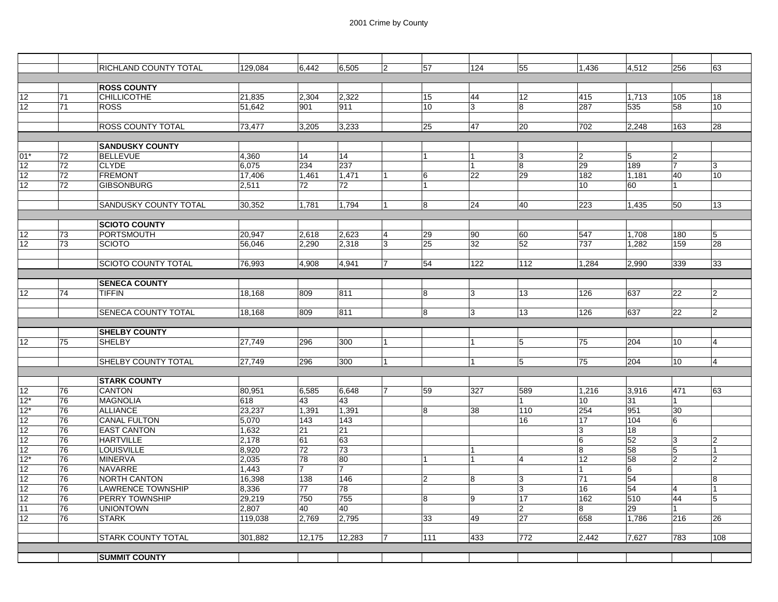|                 |          | RICHLAND COUNTY TOTAL              | 129,084         | 6,442          | 6,505    | 12             | 57             | 124            | 55                      | 1,436           | 4,512    | 256                 | 63                  |
|-----------------|----------|------------------------------------|-----------------|----------------|----------|----------------|----------------|----------------|-------------------------|-----------------|----------|---------------------|---------------------|
|                 |          |                                    |                 |                |          |                |                |                |                         |                 |          |                     |                     |
|                 |          | <b>ROSS COUNTY</b>                 |                 |                |          |                |                |                |                         |                 |          |                     |                     |
| 12              | 71       | <b>CHILLICOTHE</b>                 | 21,835          | 2,304          | 2.322    |                | 15             | 44             | 12 <sup>2</sup>         | 415             | 1,713    | 105                 | 18                  |
| 12              | 71       | <b>ROSS</b>                        | 51,642          | 901            | 911      |                | 10             | 3              | 8                       | 287             | 535      | 58                  | 10                  |
|                 |          |                                    |                 |                |          |                |                |                |                         |                 |          |                     |                     |
|                 |          | <b>ROSS COUNTY TOTAL</b>           | 73,477          | 3,205          | 3,233    |                | 25             | 47             | 20                      | 702             | 2,248    | 163                 | 28                  |
|                 |          |                                    |                 |                |          |                |                |                |                         |                 |          |                     |                     |
|                 |          | <b>SANDUSKY COUNTY</b>             |                 |                |          |                |                |                |                         |                 |          |                     |                     |
| $01*$           | 72       | <b>BELLEVUE</b>                    | 4.360           | 14             | 14       |                | 1              | $\mathbf{1}$   | 3                       | $\overline{2}$  | 5        | $\overline{2}$      |                     |
| 12              | 72       | <b>CLYDE</b>                       | 6.075           | 234            | 237      |                |                | 1              | 8                       | 29              | 189      | 7                   | 3                   |
| 12              | 72       | <b>FREMONT</b>                     | 17,406          | 1,461          | 1,471    | 11             | 6              | 22             | 29                      | 182             | 1,181    | 40                  | 10 <sup>10</sup>    |
| 12              | 72       | <b>GIBSONBURG</b>                  | 2,511           | 72             | 72       |                |                |                |                         | 10              | 60       |                     |                     |
|                 |          |                                    |                 |                |          |                |                |                |                         |                 |          |                     |                     |
|                 |          | SANDUSKY COUNTY TOTAL              | 30,352          | 1,781          | 1,794    | 11             | 8              | 24             | 40                      | 223             | 1,435    | 50                  | 13                  |
|                 |          |                                    |                 |                |          |                |                |                |                         |                 |          |                     |                     |
|                 |          | <b>SCIOTO COUNTY</b>               |                 |                |          |                |                |                |                         |                 |          |                     |                     |
| 12              | 73       | <b>PORTSMOUTH</b>                  | 20,947          | 2,618          | 2.623    | $\overline{4}$ | 29             | 90             | 60                      | 547             | 1,708    | 180                 | 5                   |
| 12              | 73       | <b>SCIOTO</b>                      | 56,046          | 2,290          | 2,318    | lз             | 25             | 32             | $\overline{52}$         | 737             | 1,282    | 159                 | 28                  |
|                 |          |                                    |                 |                |          |                |                |                |                         |                 |          |                     |                     |
|                 |          | <b>SCIOTO COUNTY TOTAL</b>         | 76.993          | 4.908          | 4.941    | 17             | 54             | 122            | 112                     | 1.284           | 2.990    | 339                 | 33                  |
|                 |          |                                    |                 |                |          |                |                |                |                         |                 |          |                     |                     |
|                 |          | <b>SENECA COUNTY</b>               |                 |                |          |                |                |                |                         |                 |          |                     |                     |
| 12 <sup>°</sup> | 74       | <b>TIFFIN</b>                      | 18,168          | 809            | 811      |                | 8              | 3              | 13                      | 126             | 637      | 22                  | $\overline{2}$      |
|                 |          |                                    |                 |                |          |                |                |                |                         |                 |          |                     |                     |
|                 |          | SENECA COUNTY TOTAL                | 18,168          | 809            | 811      |                | 8              | 3              | 13                      | 126             | 637      | 22                  | 2                   |
|                 |          |                                    |                 |                |          |                |                |                |                         |                 |          |                     |                     |
|                 |          | <b>SHELBY COUNTY</b>               |                 |                |          |                |                |                |                         |                 |          |                     |                     |
| 12              | 75       | <b>SHELBY</b>                      | 27,749          | 296            | 300      | 11             |                |                | 5                       | 75              | 204      | 10                  | 4                   |
|                 |          |                                    |                 |                |          |                |                |                |                         |                 |          |                     |                     |
|                 |          | SHELBY COUNTY TOTAL                | 27,749          | 296            | 300      | 11             |                | $\overline{1}$ | 5                       | 75              | 204      | 10                  | $\overline{4}$      |
|                 |          |                                    |                 |                |          |                |                |                |                         |                 |          |                     |                     |
|                 |          | <b>STARK COUNTY</b>                |                 |                |          |                |                |                |                         |                 |          |                     |                     |
| 12 <sub>2</sub> | 76       | CANTON                             | 80,951          | 6,585          | 6,648    | 7              | 59             | 327            | 589                     | 1,216           | 3,916    | 471                 | 63                  |
| $12*$           | 76       | <b>MAGNOLIA</b>                    | 618             | 43             | 43       |                |                |                |                         | 10              | 31       |                     |                     |
| $12*$           | 76       | <b>ALLIANCE</b>                    | 23,237          | 1,391          | 1,391    |                | 8              | 38             | 110                     | 254             | 951      | 30                  |                     |
| 12              | 76       | CANAL FULTON<br><b>EAST CANTON</b> | 5,070           | 143            | 143      |                |                |                | 16                      | 17              | 104      | 6                   |                     |
| 12              | 76       | <b>HARTVILLE</b>                   | 1,632           | 21<br>61       | 21<br>63 |                |                |                |                         | 3<br>6          | 18<br>52 | 3                   |                     |
| 12              | 76<br>76 | <b>LOUISVILLE</b>                  | 2,178           | 72             | 73       |                |                |                |                         | $\overline{8}$  | 58       |                     | $\overline{2}$<br>1 |
| 12<br>12*       | 76       | <b>MINERVA</b>                     | 8,920<br>2,035  | 78             | 80       |                |                | $\overline{1}$ | 4                       | $\overline{12}$ | 58       | $\overline{5}$<br>2 | $\overline{2}$      |
| 12              | 76       | NAVARRE                            | 1,443           | $\overline{7}$ | 17       |                |                |                |                         | $\mathbf{1}$    | 6        |                     |                     |
| $\overline{12}$ | 76       | <b>NORTH CANTON</b>                | 16,398          | 138            | 146      |                | $\overline{2}$ | 8              | 3                       | 71              | 54       |                     | 8                   |
|                 | 76       | <b>LAWRENCE TOWNSHIP</b>           |                 | 77             | 78       |                |                |                | 3                       | 16              | 54       | $\overline{4}$      | 1                   |
| 12<br>12        | 76       | PERRY TOWNSHIP                     | 8,336<br>29,219 | 750            | 755      |                | 8              | 9              | 17                      | 162             | 510      | 44                  | 5                   |
| 11              | 76       | <b>UNIONTOWN</b>                   | 2,807           | 40             | 40       |                |                |                | $\overline{\mathbf{c}}$ | 8               | 29       |                     |                     |
| 12              | 76       | <b>STARK</b>                       | 119,038         | 2,769          | 2,795    |                | 33             | 49             | $\overline{27}$         | 658             | 1,786    | 216                 | 26                  |
|                 |          |                                    |                 |                |          |                |                |                |                         |                 |          |                     |                     |
|                 |          | <b>STARK COUNTY TOTAL</b>          | 301,882         | 12,175         | 12,283   | $\overline{7}$ | 111            | 433            | 772                     | 2,442           | 7,627    | 783                 | 108                 |
|                 |          |                                    |                 |                |          |                |                |                |                         |                 |          |                     |                     |
|                 |          | <b>SUMMIT COUNTY</b>               |                 |                |          |                |                |                |                         |                 |          |                     |                     |
|                 |          |                                    |                 |                |          |                |                |                |                         |                 |          |                     |                     |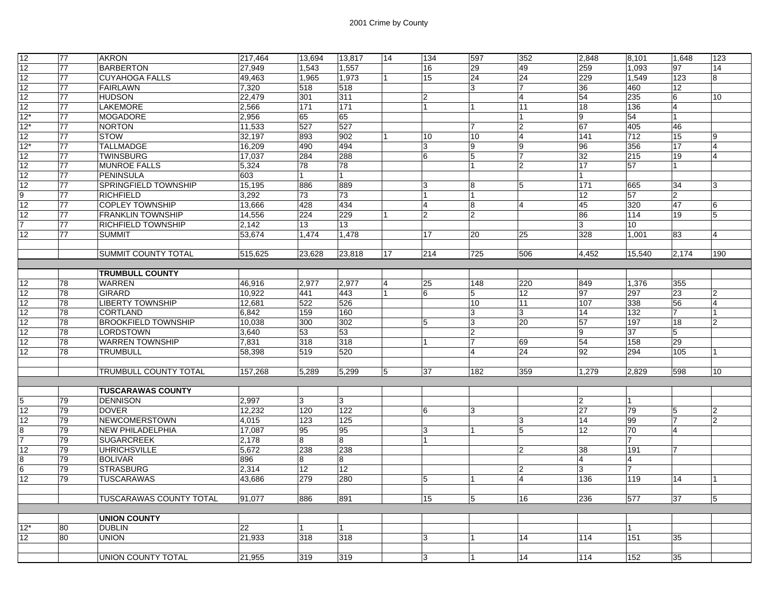| 12              | 77 | <b>AKRON</b>                | 217,464 | 13,694           | 13,817 | 14             | 134            | 597            | 352            | 2,848          | 8,101          | 1.648          | 123            |
|-----------------|----|-----------------------------|---------|------------------|--------|----------------|----------------|----------------|----------------|----------------|----------------|----------------|----------------|
| 12              | 77 | <b>BARBERTON</b>            | 27,949  | 1,543            | 1,557  |                | 16             | 29             | 49             | 259            | 1,093          | 97             | 14             |
| 12              | 77 | <b>CUYAHOGA FALLS</b>       | 49,463  | 1,965            | 1,973  | $\overline{1}$ | 15             | 24             | 24             | 229            | 1,549          | 123            | 8              |
| 12              | 77 | <b>FAIRLAWN</b>             | 7,320   | 518              | 518    |                |                | 3              | 17             | 36             | 460            | 12             |                |
| 12              | 77 | <b>HUDSON</b>               | 22.479  | 301              | 311    |                | $\overline{2}$ |                | $\overline{4}$ | 54             | 235            | 6              | 10             |
| 12              | 77 | <b>LAKEMORE</b>             | 2,566   | 171              | 171    |                |                | $\overline{1}$ | 11             | 18             | 136            | 4              |                |
| $12*$           | 77 | <b>MOGADORE</b>             | 2,956   | 65               | 65     |                |                |                |                | $\overline{9}$ | 54             |                |                |
| $12*$           | 77 | NORTON                      | 11,533  | $\overline{527}$ | 527    |                |                | 17             | $\overline{2}$ | 67             | 405            | 46             |                |
| 12              | 77 | <b>STOW</b>                 | 32,197  | 893              | 902    |                | 10             | 10             | $\overline{4}$ | 141            | 712            | 15             | g              |
| $12*$           | 77 | <b>TALLMADGE</b>            | 16,209  | 490              | 494    |                | 3              | 9              | $\overline{9}$ | 96             | 356            | 17             | 4              |
| 12              | 77 | <b>TWINSBURG</b>            | 17,037  | 284              | 288    |                | 6              | 5              | $\overline{7}$ | 32             | 215            | 19             | 4              |
| 12              | 77 | <b>MUNROE FALLS</b>         | 5,324   | 78               | 78     |                |                | $\overline{1}$ | $\overline{2}$ | 17             | 57             | 1              |                |
| 12              | 77 | <b>PENINSULA</b>            | 603     |                  | 1      |                |                |                |                | 1              |                |                |                |
| 12              | 77 | <b>SPRINGFIELD TOWNSHIP</b> | 15,195  | 886              | 889    |                | 3              | 8              | 5              | 171            | 665            | 34             | 3              |
| $\overline{9}$  | 77 | <b>RICHFIELD</b>            | 3,292   | 73               | 73     |                |                | $\overline{1}$ |                | 12             | 57             | $\overline{2}$ |                |
| 12              | 77 | <b>COPLEY TOWNSHIP</b>      | 13,666  | 428              | 434    |                | $\overline{4}$ | 8              | $\overline{4}$ | 45             | 320            | 47             | 6              |
| 12              | 77 | <b>FRANKLIN TOWNSHIP</b>    | 14,556  | 224              | 229    | $\overline{1}$ | $\overline{2}$ | $\overline{2}$ |                | 86             | 114            | 19             | 5              |
| $\overline{7}$  | 77 | <b>RICHFIELD TOWNSHIP</b>   | 2,142   | 13               | 13     |                |                |                |                | 3              | 10             |                |                |
| 12              | 77 | <b>SUMMIT</b>               | 53.674  | 1.474            | 1.478  |                | 17             | 20             | 25             | 328            | 1.001          | 83             | $\overline{4}$ |
|                 |    |                             |         |                  |        |                |                |                |                |                |                |                |                |
|                 |    | <b>SUMMIT COUNTY TOTAL</b>  | 515,625 | 23,628           | 23,818 | 17             | 214            | 725            | 506            | 4,452          | 15,540         | 2.174          | 190            |
|                 |    |                             |         |                  |        |                |                |                |                |                |                |                |                |
|                 |    | <b>TRUMBULL COUNTY</b>      |         |                  |        |                |                |                |                |                |                |                |                |
| 12              | 78 | <b>WARREN</b>               | 46,916  | 2.977            | 2,977  | $\overline{4}$ | 25             | 148            | 220            | 849            | 1,376          | 355            |                |
| 12              | 78 | GIRARD                      | 10,922  | 441              | 443    | 1              | 6              | 5              | 12             | 97             | 297            | 23             | $\overline{2}$ |
| 12              | 78 | <b>LIBERTY TOWNSHIP</b>     | 12,681  | 522              | 526    |                |                | 10             | 11             | 107            | 338            | 56             | $\overline{4}$ |
| 12              | 78 | <b>CORTLAND</b>             | 6,842   | 159              | 160    |                |                | 3              | 3              | 14             | 132            |                |                |
| 12              | 78 | <b>BROOKFIELD TOWNSHIP</b>  | 10,038  | 300              | 302    |                | 5              | 3              | 20             | 57             | 197            | 18             | $\overline{2}$ |
| 12              | 78 | <b>LORDSTOWN</b>            | 3,640   | 53               | 53     |                |                | $\overline{2}$ |                | 9              | 37             | 5              |                |
| 12              | 78 | <b>WARREN TOWNSHIP</b>      | 7,831   | 318              | 318    |                |                | 17             | 69             | 54             | 158            | 29             |                |
| 12              | 78 | <b>TRUMBULL</b>             | 58,398  | 519              | 520    |                |                | $\overline{4}$ | 24             | 92             | 294            | 105            |                |
|                 |    |                             |         |                  |        |                |                |                |                |                |                |                |                |
|                 |    | TRUMBULL COUNTY TOTAL       | 157,268 | 5.289            | 5,299  | 5              | 37             | 182            | 359            | 1,279          | 2,829          | 598            | 10             |
|                 |    |                             |         |                  |        |                |                |                |                |                |                |                |                |
|                 |    | <b>TUSCARAWAS COUNTY</b>    |         |                  |        |                |                |                |                |                |                |                |                |
| $\overline{5}$  | 79 | <b>DENNISON</b>             | 2,997   | 3                | 3      |                |                |                |                | $\overline{2}$ | $\overline{1}$ |                |                |
| 12              | 79 | <b>DOVER</b>                | 12.232  | 120              | 122    |                | 6              | 3              |                | 27             | 79             | 5              | $\overline{2}$ |
| 12              | 79 | NEWCOMERSTOWN               | 4,015   | 123              | 125    |                |                |                | 3              | 14             | 99             |                | $\overline{2}$ |
| $\bf8$          | 79 | NEW PHILADELPHIA            | 17,087  | 95               | 95     |                | 3              |                | 5              | 12             | 70             | $\overline{4}$ |                |
| $\overline{7}$  | 79 | <b>SUGARCREEK</b>           | 2.178   | 8                | 8      |                |                |                |                |                | 7              |                |                |
| 12              | 79 | <b>UHRICHSVILLE</b>         | 5.672   | 238              | 238    |                |                |                | $\overline{2}$ | 38             | 191            |                |                |
| 8               | 79 | <b>BOLIVAR</b>              | 896     | 8                | 8      |                |                |                |                | $\overline{4}$ | $\overline{4}$ |                |                |
| $6\overline{6}$ | 79 | <b>STRASBURG</b>            | 2,314   | 12 <sup>°</sup>  | 12     |                |                |                | $\overline{2}$ | 3              | 7              |                |                |
| 12              | 79 | <b>TUSCARAWAS</b>           | 43.686  | 279              | 280    |                | 5              |                | $\overline{4}$ | 136            | 119            | 14             |                |
|                 |    |                             |         |                  |        |                |                |                |                |                |                |                |                |
|                 |    | TUSCARAWAS COUNTY TOTAL     | 91,077  | 886              | 891    |                | 15             | 5              | 16             | 236            | 577            | 37             | 5              |
|                 |    |                             |         |                  |        |                |                |                |                |                |                |                |                |
|                 |    | <b>UNION COUNTY</b>         |         |                  |        |                |                |                |                |                |                |                |                |
| $12*$           | 80 | <b>DUBLIN</b>               | 22      | 1                |        |                |                |                |                |                |                |                |                |
| 12              | 80 | <b>UNION</b>                | 21,933  | 318              | 318    |                | 3              |                | 14             | 114            | 151            | 35             |                |
|                 |    |                             |         |                  |        |                |                |                |                |                |                |                |                |
|                 |    | <b>UNION COUNTY TOTAL</b>   | 21,955  | 319              | 319    |                | 3              | $\overline{1}$ | 14             | 114            | 152            | 35             |                |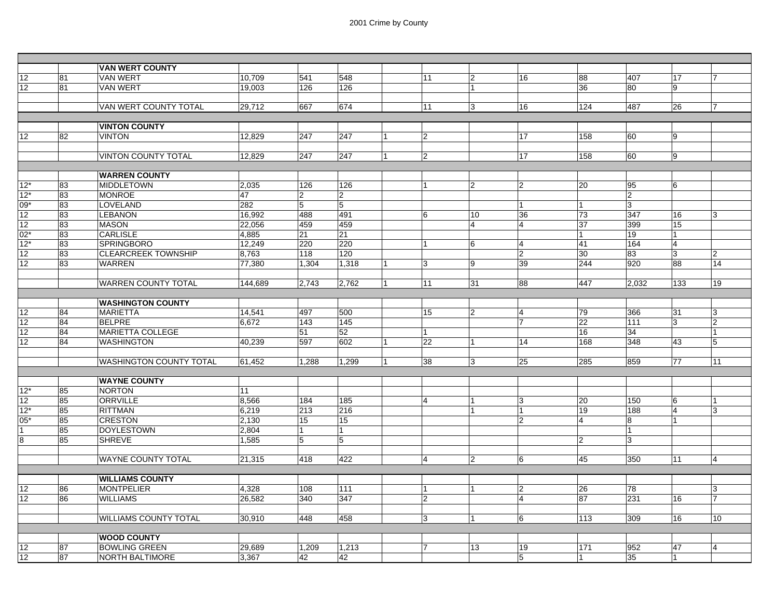|                 |          | <b>VAN WERT COUNTY</b>           |         |                |                |                |                |                |                     |                 |                |                |                |
|-----------------|----------|----------------------------------|---------|----------------|----------------|----------------|----------------|----------------|---------------------|-----------------|----------------|----------------|----------------|
| 12              | 81       | <b>VAN WERT</b>                  | 10.709  | 541            | 548            |                | 11             | $\overline{2}$ | 16                  | 88              | 407            | 17             |                |
| 12 <sup>2</sup> | 81       | <b>VAN WERT</b>                  | 19.003  | 126            | 126            |                |                | 1              |                     | 36              | 80             | 9              |                |
|                 |          |                                  |         |                |                |                |                |                |                     |                 |                |                |                |
|                 |          | VAN WERT COUNTY TOTAL            | 29,712  | 667            | 674            |                | 11             | 3              | 16                  | 124             | 487            | 26             |                |
|                 |          |                                  |         |                |                |                |                |                |                     |                 |                |                |                |
|                 |          | <b>VINTON COUNTY</b>             |         |                |                |                |                |                |                     |                 |                |                |                |
| 12              | 82       | <b>VINTON</b>                    | 12,829  | 247            | 247            |                | $\overline{2}$ |                | 17                  | 158             | 60             | 9              |                |
|                 |          |                                  |         |                |                |                |                |                |                     |                 |                |                |                |
|                 |          | <b>VINTON COUNTY TOTAL</b>       | 12,829  | 247            | 247            | $\overline{1}$ | $\overline{2}$ |                | 17                  | 158             | 60             | 9              |                |
|                 |          |                                  |         |                |                |                |                |                |                     |                 |                |                |                |
|                 |          | <b>WARREN COUNTY</b>             |         |                |                |                |                |                |                     |                 |                |                |                |
| $12*$           | 83       | <b>MIDDLETOWN</b>                | 2,035   | 126            | 126            |                | $\mathbf{1}$   | $\overline{2}$ | $\overline{2}$      | 20              | 95             | 6              |                |
| $12*$           | 83       | <b>MONROE</b>                    | 47      | $\overline{2}$ | $\overline{2}$ |                |                |                |                     |                 | $\overline{2}$ |                |                |
| $09*$           | 83       | LOVELAND                         | 282     | 5              | $\overline{5}$ |                |                |                |                     | 1               | 3              |                |                |
| 12              | 83       | <b>LEBANON</b>                   | 16,992  | 488            | 491            |                | 6              | 10             | 36                  | 73              | 347            | 16             | 3              |
| 12              | 83       | <b>MASON</b>                     | 22,056  | 459            | 459            |                |                | $\overline{4}$ | $\overline{4}$      | 37              | 399            | 15             |                |
| $02*$           | 83       | <b>CARLISLE</b>                  | 4,885   | 21             | 21             |                |                |                |                     |                 | 19             | $\mathbf{1}$   |                |
| $12*$           | 83       | SPRINGBORO                       | 12,249  | 220            | 220            |                | $\mathbf 1$    | 6              | $\overline{4}$      | 41              | 164            | 4              |                |
| 12              | 83       | <b>CLEARCREEK TOWNSHIP</b>       | 8,763   | 118            | 120            |                |                |                | $\overline{2}$      | 30              | 83             | 3              | 2              |
| 12              | 83       | <b>WARREN</b>                    | 77,380  | 1,304          | 1,318          | $\overline{1}$ | 3              | 9              | 39                  | 244             | 920            | 88             | 14             |
|                 |          |                                  |         |                |                |                |                |                |                     |                 |                |                |                |
|                 |          | <b>WARREN COUNTY TOTAL</b>       | 144,689 | 2,743          | 2,762          | $\vert$ 1      | 11             | 31             | 88                  | 447             | 2,032          | 133            | 19             |
|                 |          | <b>WASHINGTON COUNTY</b>         |         |                |                |                |                |                |                     |                 |                |                |                |
|                 |          |                                  |         |                |                |                |                | $\overline{2}$ |                     |                 |                |                |                |
| 12              | 84<br>84 | <b>MARIETTA</b><br><b>BELPRE</b> | 14,541  | 497<br>143     | 500<br>145     |                | 15             |                | $\overline{4}$<br>7 | 79<br>22        | 366            | 31             | 3              |
| 12              | 84       | MARIETTA COLLEGE                 | 6.672   |                |                |                | $\mathbf{1}$   |                |                     | 16              | 111            | 3              | $\overline{2}$ |
| 12<br>12        | 84       | <b>WASHINGTON</b>                | 40,239  | 51<br>597      | 52<br>602      | 1              | 22             | $\mathbf{1}$   | 14                  | 168             | 34<br>348      | 43             | 5              |
|                 |          |                                  |         |                |                |                |                |                |                     |                 |                |                |                |
|                 |          | WASHINGTON COUNTY TOTAL          | 61,452  | 1,288          | 1,299          | $\overline{1}$ | 38             | 3              | 25                  | 285             | 859            | 77             | 11             |
|                 |          |                                  |         |                |                |                |                |                |                     |                 |                |                |                |
|                 |          | <b>WAYNE COUNTY</b>              |         |                |                |                |                |                |                     |                 |                |                |                |
| $12*$           | 85       | <b>NORTON</b>                    | 11      |                |                |                |                |                |                     |                 |                |                |                |
| 12              | 85       | <b>ORRVILLE</b>                  | 8,566   | 184            | 185            |                | $\overline{4}$ | 1              | 3                   | 20              | 150            | 16             |                |
| $12*$           | 85       | <b>RITTMAN</b>                   | 6,219   | 213            | 216            |                |                |                |                     | 19              | 188            | $\overline{4}$ | 3              |
| $05*$           | 85       | <b>CRESTON</b>                   | 2,130   | 15             | 15             |                |                |                | $\overline{2}$      | $\overline{4}$  | 8              | $\overline{1}$ |                |
|                 | 85       | <b>DOYLESTOWN</b>                | 2.804   |                | $\overline{1}$ |                |                |                |                     |                 | $\mathbf{1}$   |                |                |
| 8               | 85       | <b>SHREVE</b>                    | 1.585   | 5              | 5              |                |                |                |                     | $\overline{2}$  | 3              |                |                |
|                 |          |                                  |         |                |                |                |                |                |                     |                 |                |                |                |
|                 |          | <b>WAYNE COUNTY TOTAL</b>        | 21,315  | 418            | 422            |                | $\overline{4}$ | $\overline{2}$ | 6                   | 45              | 350            | 111            | 4              |
|                 |          |                                  |         |                |                |                |                |                |                     |                 |                |                |                |
|                 |          | <b>WILLIAMS COUNTY</b>           |         |                |                |                |                |                |                     |                 |                |                |                |
| 12              | 86       | <b>MONTPELIER</b>                | 4,328   | 108            | 111            |                | 1              | $\mathbf{1}$   | $\overline{2}$      | 26              | 78             |                | 3              |
| 12              | 86       | <b>WILLIAMS</b>                  | 26,582  | 340            | 347            |                | $\overline{2}$ |                | $\overline{4}$      | $\overline{87}$ | 231            | 16             | 7              |
|                 |          |                                  |         |                |                |                |                |                |                     |                 |                |                |                |
|                 |          | <b>WILLIAMS COUNTY TOTAL</b>     | 30,910  | 448            | 458            |                | 3              | l 1            | 6                   | 113             | 309            | 16             | 10             |
|                 |          |                                  |         |                |                |                |                |                |                     |                 |                |                |                |
|                 |          | <b>WOOD COUNTY</b>               |         |                |                |                |                |                |                     |                 |                |                |                |
| 12              | 87       | <b>BOWLING GREEN</b>             | 29,689  | 1,209          | 1,213          |                | $\overline{7}$ | 13             | 19                  | 171             | 952            | 47             | 4              |
| 12              | 87       | NORTH BALTIMORE                  | 3,367   | 42             | 42             |                |                |                | 5                   | 1               | 35             | $\vert$ 1      |                |